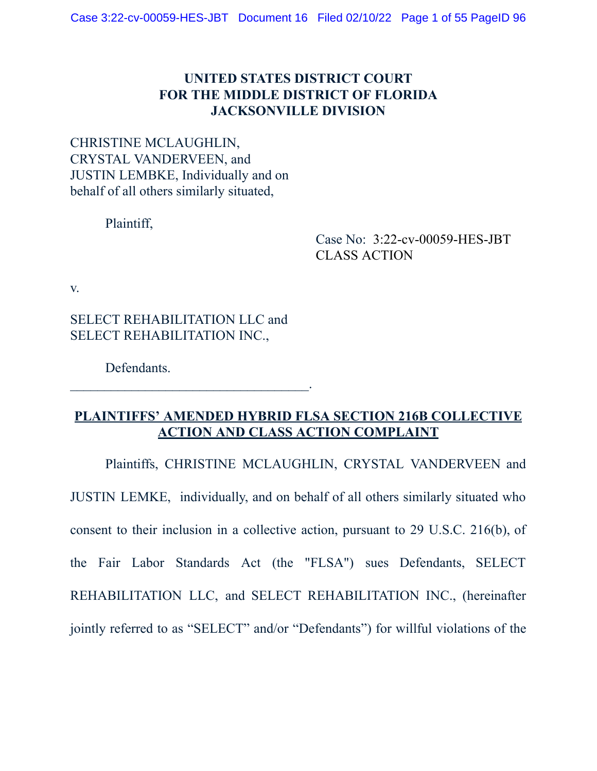## **UNITED STATES DISTRICT COURT FOR THE MIDDLE DISTRICT OF FLORIDA JACKSONVILLE DIVISION**

CHRISTINE MCLAUGHLIN, CRYSTAL VANDERVEEN, and JUSTIN LEMBKE, Individually and on behalf of all others similarly situated,

Plaintiff,

Case No: 3:22-cv-00059-HES-JBT CLASS ACTION

v.

SELECT REHABILITATION LLC and SELECT REHABILITATION INC.,

 $\mathcal{L}_\text{max}$  and  $\mathcal{L}_\text{max}$  and  $\mathcal{L}_\text{max}$  and  $\mathcal{L}_\text{max}$ 

Defendants.

## **PLAINTIFFS' AMENDED HYBRID FLSA SECTION 216B COLLECTIVE ACTION AND CLASS ACTION COMPLAINT**

Plaintiffs, CHRISTINE MCLAUGHLIN, CRYSTAL VANDERVEEN and JUSTIN LEMKE, individually, and on behalf of all others similarly situated who consent to their inclusion in a collective action, pursuant to 29 U.S.C. 216(b), of the Fair Labor Standards Act (the "FLSA") sues Defendants, SELECT REHABILITATION LLC, and SELECT REHABILITATION INC., (hereinafter jointly referred to as "SELECT" and/or "Defendants") for willful violations of the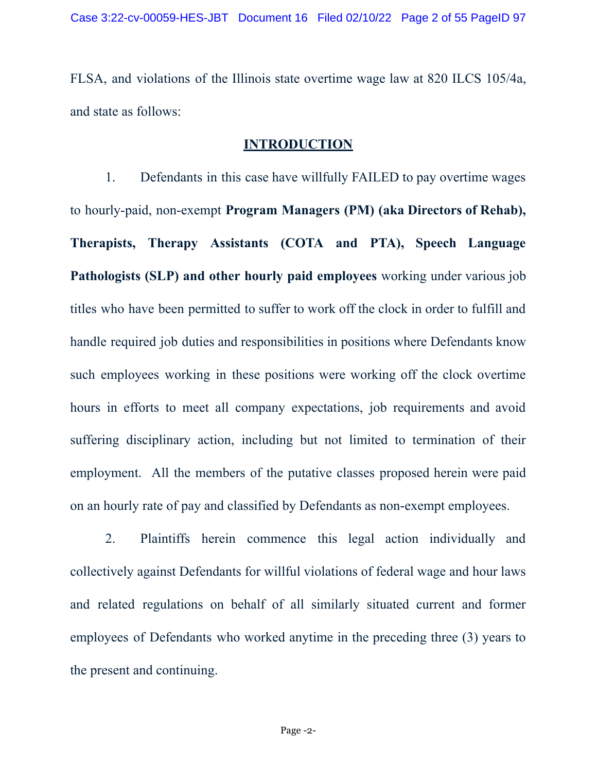FLSA, and violations of the Illinois state overtime wage law at 820 ILCS 105/4a, and state as follows:

#### **INTRODUCTION**

1. Defendants in this case have willfully FAILED to pay overtime wages to hourly-paid, non-exempt **Program Managers (PM) (aka Directors of Rehab), Therapists, Therapy Assistants (COTA and PTA), Speech Language Pathologists (SLP) and other hourly paid employees** working under various job titles who have been permitted to suffer to work off the clock in order to fulfill and handle required job duties and responsibilities in positions where Defendants know such employees working in these positions were working off the clock overtime hours in efforts to meet all company expectations, job requirements and avoid suffering disciplinary action, including but not limited to termination of their employment. All the members of the putative classes proposed herein were paid on an hourly rate of pay and classified by Defendants as non-exempt employees.

2. Plaintiffs herein commence this legal action individually and collectively against Defendants for willful violations of federal wage and hour laws and related regulations on behalf of all similarly situated current and former employees of Defendants who worked anytime in the preceding three (3) years to the present and continuing.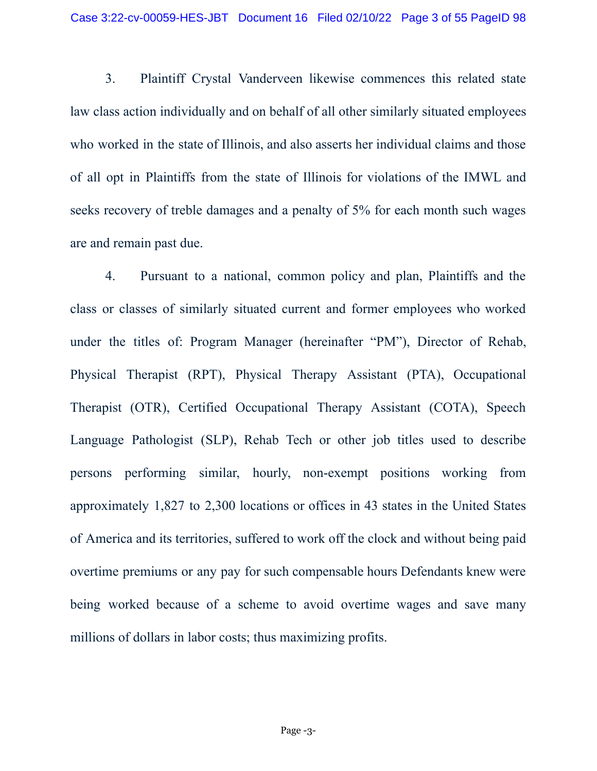3. Plaintiff Crystal Vanderveen likewise commences this related state law class action individually and on behalf of all other similarly situated employees who worked in the state of Illinois, and also asserts her individual claims and those of all opt in Plaintiffs from the state of Illinois for violations of the IMWL and seeks recovery of treble damages and a penalty of 5% for each month such wages are and remain past due.

4. Pursuant to a national, common policy and plan, Plaintiffs and the class or classes of similarly situated current and former employees who worked under the titles of: Program Manager (hereinafter "PM"), Director of Rehab, Physical Therapist (RPT), Physical Therapy Assistant (PTA), Occupational Therapist (OTR), Certified Occupational Therapy Assistant (COTA), Speech Language Pathologist (SLP), Rehab Tech or other job titles used to describe persons performing similar, hourly, non-exempt positions working from approximately 1,827 to 2,300 locations or offices in 43 states in the United States of America and its territories, suffered to work off the clock and without being paid overtime premiums or any pay for such compensable hours Defendants knew were being worked because of a scheme to avoid overtime wages and save many millions of dollars in labor costs; thus maximizing profits.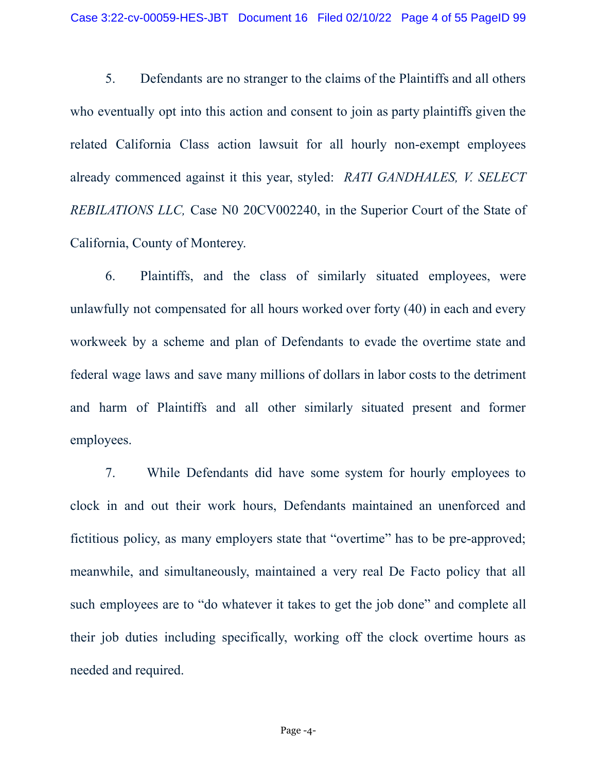5. Defendants are no stranger to the claims of the Plaintiffs and all others who eventually opt into this action and consent to join as party plaintiffs given the related California Class action lawsuit for all hourly non-exempt employees already commenced against it this year, styled: *RATI GANDHALES, V. SELECT REBILATIONS LLC,* Case N0 20CV002240, in the Superior Court of the State of California, County of Monterey.

6. Plaintiffs, and the class of similarly situated employees, were unlawfully not compensated for all hours worked over forty (40) in each and every workweek by a scheme and plan of Defendants to evade the overtime state and federal wage laws and save many millions of dollars in labor costs to the detriment and harm of Plaintiffs and all other similarly situated present and former employees.

7. While Defendants did have some system for hourly employees to clock in and out their work hours, Defendants maintained an unenforced and fictitious policy, as many employers state that "overtime" has to be pre-approved; meanwhile, and simultaneously, maintained a very real De Facto policy that all such employees are to "do whatever it takes to get the job done" and complete all their job duties including specifically, working off the clock overtime hours as needed and required.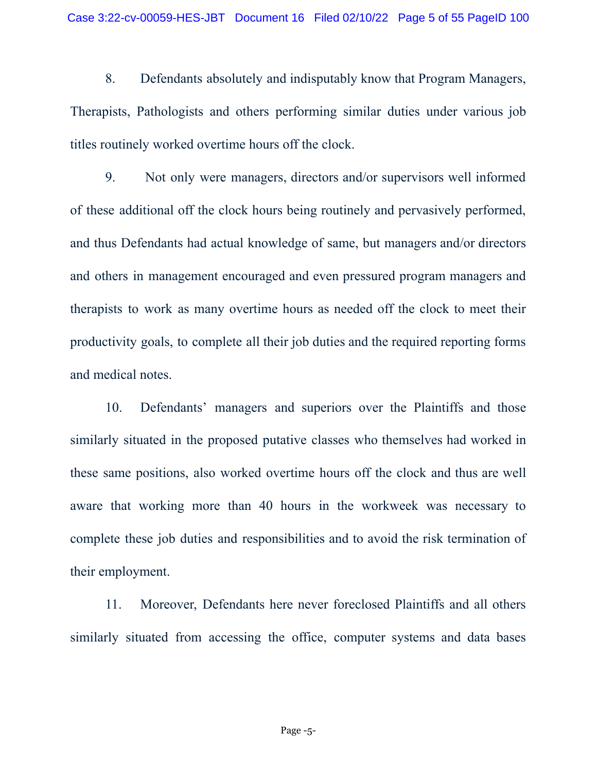8. Defendants absolutely and indisputably know that Program Managers, Therapists, Pathologists and others performing similar duties under various job titles routinely worked overtime hours off the clock.

9. Not only were managers, directors and/or supervisors well informed of these additional off the clock hours being routinely and pervasively performed, and thus Defendants had actual knowledge of same, but managers and/or directors and others in management encouraged and even pressured program managers and therapists to work as many overtime hours as needed off the clock to meet their productivity goals, to complete all their job duties and the required reporting forms and medical notes.

10. Defendants' managers and superiors over the Plaintiffs and those similarly situated in the proposed putative classes who themselves had worked in these same positions, also worked overtime hours off the clock and thus are well aware that working more than 40 hours in the workweek was necessary to complete these job duties and responsibilities and to avoid the risk termination of their employment.

11. Moreover, Defendants here never foreclosed Plaintiffs and all others similarly situated from accessing the office, computer systems and data bases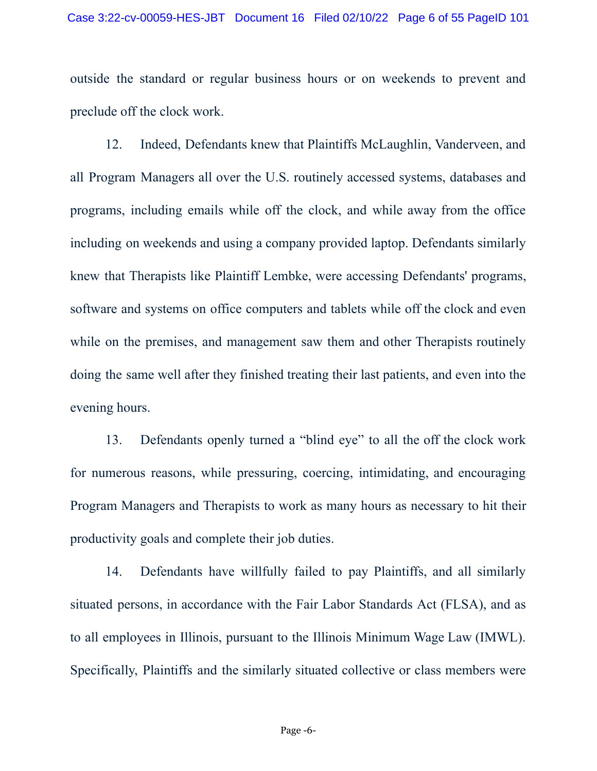outside the standard or regular business hours or on weekends to prevent and preclude off the clock work.

12. Indeed, Defendants knew that Plaintiffs McLaughlin, Vanderveen, and all Program Managers all over the U.S. routinely accessed systems, databases and programs, including emails while off the clock, and while away from the office including on weekends and using a company provided laptop. Defendants similarly knew that Therapists like Plaintiff Lembke, were accessing Defendants' programs, software and systems on office computers and tablets while off the clock and even while on the premises, and management saw them and other Therapists routinely doing the same well after they finished treating their last patients, and even into the evening hours.

13. Defendants openly turned a "blind eye" to all the off the clock work for numerous reasons, while pressuring, coercing, intimidating, and encouraging Program Managers and Therapists to work as many hours as necessary to hit their productivity goals and complete their job duties.

14. Defendants have willfully failed to pay Plaintiffs, and all similarly situated persons, in accordance with the Fair Labor Standards Act (FLSA), and as to all employees in Illinois, pursuant to the Illinois Minimum Wage Law (IMWL). Specifically, Plaintiffs and the similarly situated collective or class members were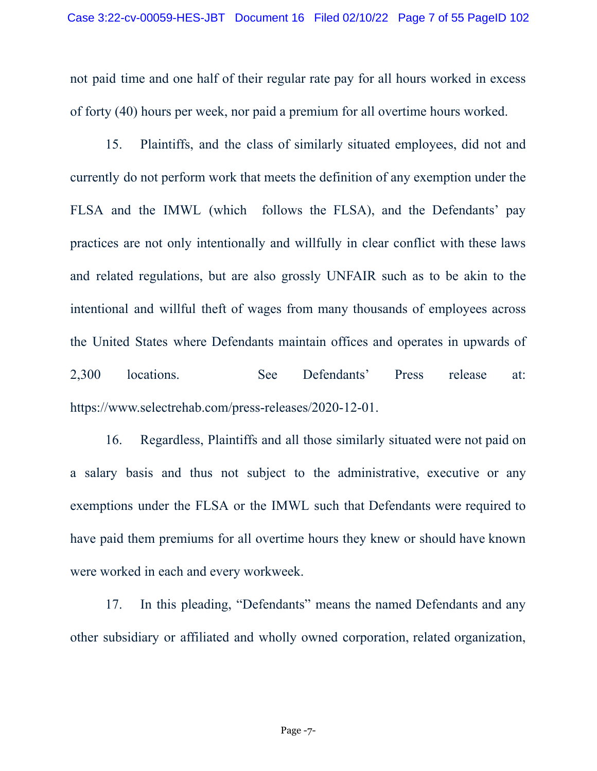not paid time and one half of their regular rate pay for all hours worked in excess of forty (40) hours per week, nor paid a premium for all overtime hours worked.

15. Plaintiffs, and the class of similarly situated employees, did not and currently do not perform work that meets the definition of any exemption under the FLSA and the IMWL (which follows the FLSA), and the Defendants' pay practices are not only intentionally and willfully in clear conflict with these laws and related regulations, but are also grossly UNFAIR such as to be akin to the intentional and willful theft of wages from many thousands of employees across the United States where Defendants maintain offices and operates in upwards of 2,300 locations. See Defendants' Press release at: https://www.selectrehab.com/press-releases/2020-12-01.

16. Regardless, Plaintiffs and all those similarly situated were not paid on a salary basis and thus not subject to the administrative, executive or any exemptions under the FLSA or the IMWL such that Defendants were required to have paid them premiums for all overtime hours they knew or should have known were worked in each and every workweek.

17. In this pleading, "Defendants" means the named Defendants and any other subsidiary or affiliated and wholly owned corporation, related organization,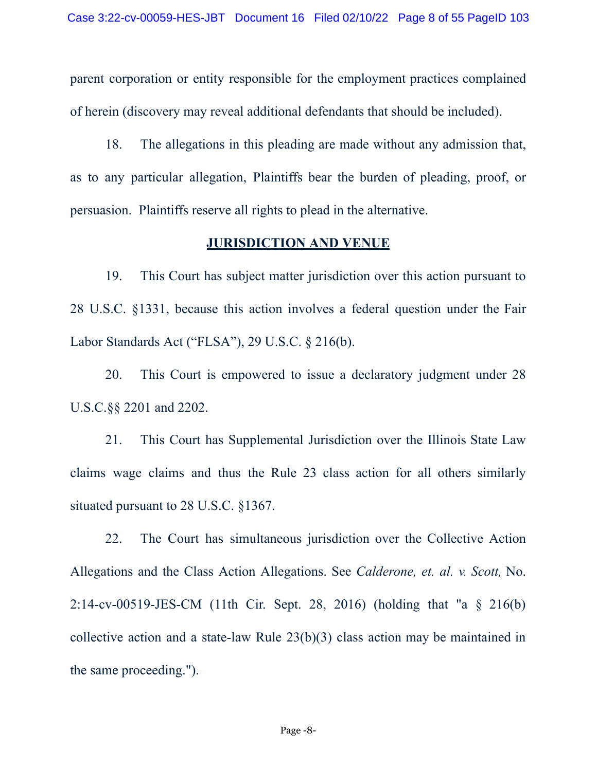parent corporation or entity responsible for the employment practices complained of herein (discovery may reveal additional defendants that should be included).

18. The allegations in this pleading are made without any admission that, as to any particular allegation, Plaintiffs bear the burden of pleading, proof, or persuasion. Plaintiffs reserve all rights to plead in the alternative.

#### **JURISDICTION AND VENUE**

19. This Court has subject matter jurisdiction over this action pursuant to 28 U.S.C. §1331, because this action involves a federal question under the Fair Labor Standards Act ("FLSA"), 29 U.S.C. § 216(b).

20. This Court is empowered to issue a declaratory judgment under 28 U.S.C.§§ 2201 and 2202.

21. This Court has Supplemental Jurisdiction over the Illinois State Law claims wage claims and thus the Rule 23 class action for all others similarly situated pursuant to 28 U.S.C. §1367.

22. The Court has simultaneous jurisdiction over the Collective Action Allegations and the Class Action Allegations. See *Calderone, et. al. v. Scott,* No. 2:14-cv-00519-JES-CM (11th Cir. Sept. 28, 2016) (holding that "a § 216(b) collective action and a state-law Rule 23(b)(3) class action may be maintained in the same proceeding.").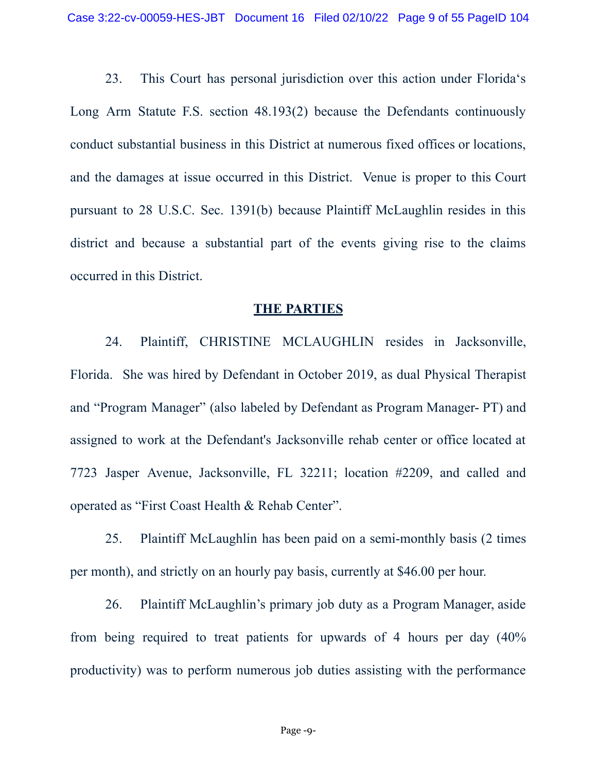23. This Court has personal jurisdiction over this action under Florida's Long Arm Statute F.S. section 48.193(2) because the Defendants continuously conduct substantial business in this District at numerous fixed offices or locations, and the damages at issue occurred in this District. Venue is proper to this Court pursuant to 28 U.S.C. Sec. 1391(b) because Plaintiff McLaughlin resides in this district and because a substantial part of the events giving rise to the claims occurred in this District.

#### **THE PARTIES**

24. Plaintiff, CHRISTINE MCLAUGHLIN resides in Jacksonville, Florida. She was hired by Defendant in October 2019, as dual Physical Therapist and "Program Manager" (also labeled by Defendant as Program Manager- PT) and assigned to work at the Defendant's Jacksonville rehab center or office located at 7723 Jasper Avenue, Jacksonville, FL 32211; location #2209, and called and operated as "First Coast Health & Rehab Center".

25. Plaintiff McLaughlin has been paid on a semi-monthly basis (2 times per month), and strictly on an hourly pay basis, currently at \$46.00 per hour.

26. Plaintiff McLaughlin's primary job duty as a Program Manager, aside from being required to treat patients for upwards of 4 hours per day (40% productivity) was to perform numerous job duties assisting with the performance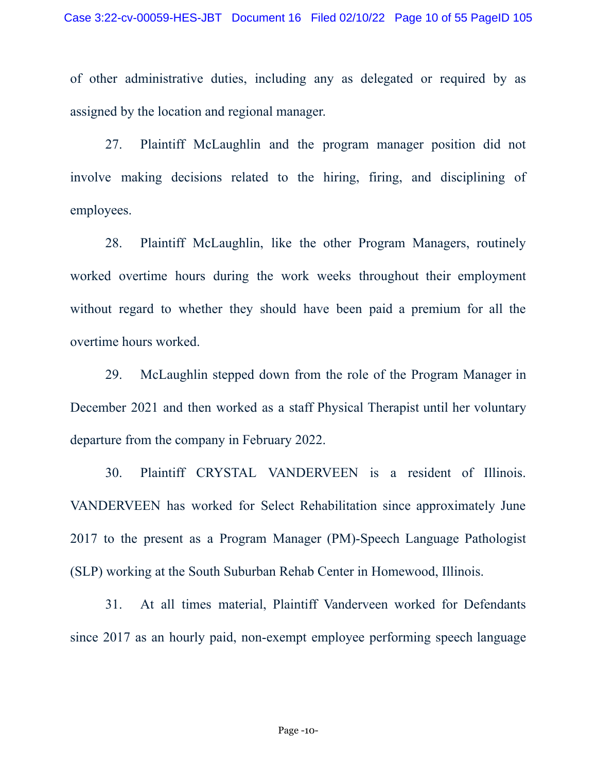of other administrative duties, including any as delegated or required by as assigned by the location and regional manager.

27. Plaintiff McLaughlin and the program manager position did not involve making decisions related to the hiring, firing, and disciplining of employees.

28. Plaintiff McLaughlin, like the other Program Managers, routinely worked overtime hours during the work weeks throughout their employment without regard to whether they should have been paid a premium for all the overtime hours worked.

29. McLaughlin stepped down from the role of the Program Manager in December 2021 and then worked as a staff Physical Therapist until her voluntary departure from the company in February 2022.

30. Plaintiff CRYSTAL VANDERVEEN is a resident of Illinois. VANDERVEEN has worked for Select Rehabilitation since approximately June 2017 to the present as a Program Manager (PM)-Speech Language Pathologist (SLP) working at the South Suburban Rehab Center in Homewood, Illinois.

31. At all times material, Plaintiff Vanderveen worked for Defendants since 2017 as an hourly paid, non-exempt employee performing speech language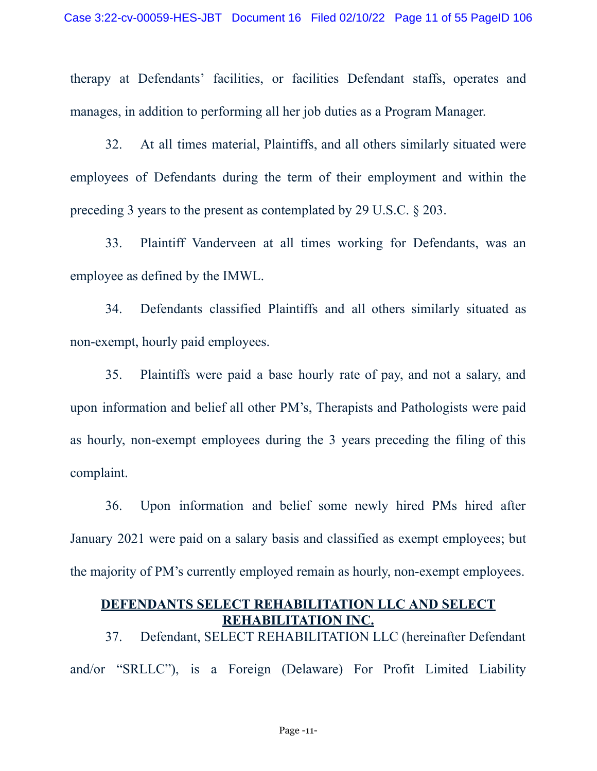therapy at Defendants' facilities, or facilities Defendant staffs, operates and manages, in addition to performing all her job duties as a Program Manager.

32. At all times material, Plaintiffs, and all others similarly situated were employees of Defendants during the term of their employment and within the preceding 3 years to the present as contemplated by 29 U.S.C. § 203.

33. Plaintiff Vanderveen at all times working for Defendants, was an employee as defined by the IMWL.

34. Defendants classified Plaintiffs and all others similarly situated as non-exempt, hourly paid employees.

35. Plaintiffs were paid a base hourly rate of pay, and not a salary, and upon information and belief all other PM's, Therapists and Pathologists were paid as hourly, non-exempt employees during the 3 years preceding the filing of this complaint.

36. Upon information and belief some newly hired PMs hired after January 2021 were paid on a salary basis and classified as exempt employees; but the majority of PM's currently employed remain as hourly, non-exempt employees.

#### **DEFENDANTS SELECT REHABILITATION LLC AND SELECT REHABILITATION INC.**

37. Defendant, SELECT REHABILITATION LLC (hereinafter Defendant and/or "SRLLC"), is a Foreign (Delaware) For Profit Limited Liability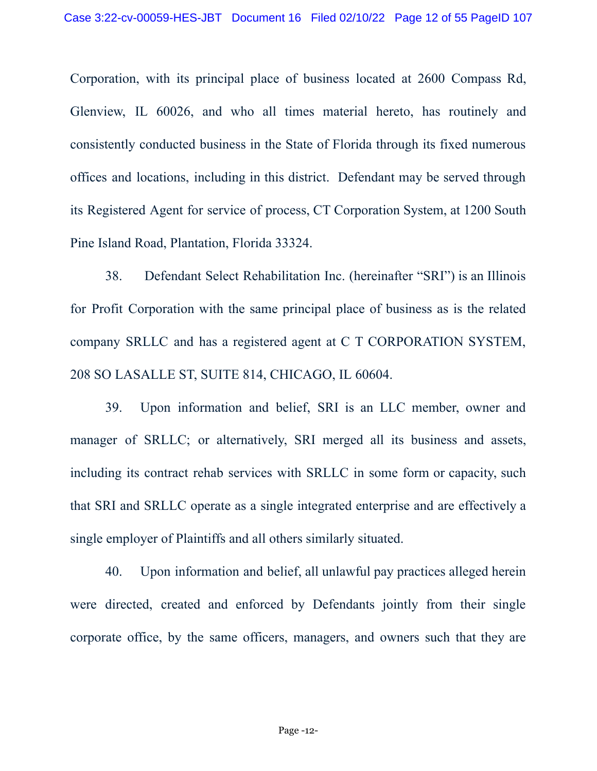Corporation, with its principal place of business located at 2600 Compass Rd, Glenview, IL 60026, and who all times material hereto, has routinely and consistently conducted business in the State of Florida through its fixed numerous offices and locations, including in this district. Defendant may be served through its Registered Agent for service of process, CT Corporation System, at 1200 South Pine Island Road, Plantation, Florida 33324.

38. Defendant Select Rehabilitation Inc. (hereinafter "SRI") is an Illinois for Profit Corporation with the same principal place of business as is the related company SRLLC and has a registered agent at C T CORPORATION SYSTEM, 208 SO LASALLE ST, SUITE 814, CHICAGO, IL 60604.

39. Upon information and belief, SRI is an LLC member, owner and manager of SRLLC; or alternatively, SRI merged all its business and assets, including its contract rehab services with SRLLC in some form or capacity, such that SRI and SRLLC operate as a single integrated enterprise and are effectively a single employer of Plaintiffs and all others similarly situated.

40. Upon information and belief, all unlawful pay practices alleged herein were directed, created and enforced by Defendants jointly from their single corporate office, by the same officers, managers, and owners such that they are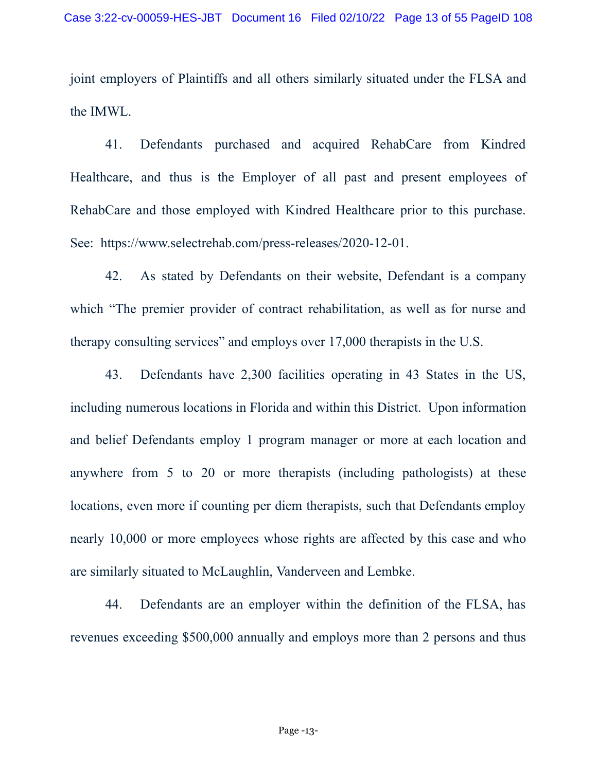joint employers of Plaintiffs and all others similarly situated under the FLSA and the IMWL.

41. Defendants purchased and acquired RehabCare from Kindred Healthcare, and thus is the Employer of all past and present employees of RehabCare and those employed with Kindred Healthcare prior to this purchase. See: https://www.selectrehab.com/press-releases/2020-12-01.

42. As stated by Defendants on their website, Defendant is a company which "The premier provider of contract rehabilitation, as well as for nurse and therapy consulting services" and employs over 17,000 therapists in the U.S.

43. Defendants have 2,300 facilities operating in 43 States in the US, including numerous locations in Florida and within this District. Upon information and belief Defendants employ 1 program manager or more at each location and anywhere from 5 to 20 or more therapists (including pathologists) at these locations, even more if counting per diem therapists, such that Defendants employ nearly 10,000 or more employees whose rights are affected by this case and who are similarly situated to McLaughlin, Vanderveen and Lembke.

44. Defendants are an employer within the definition of the FLSA, has revenues exceeding \$500,000 annually and employs more than 2 persons and thus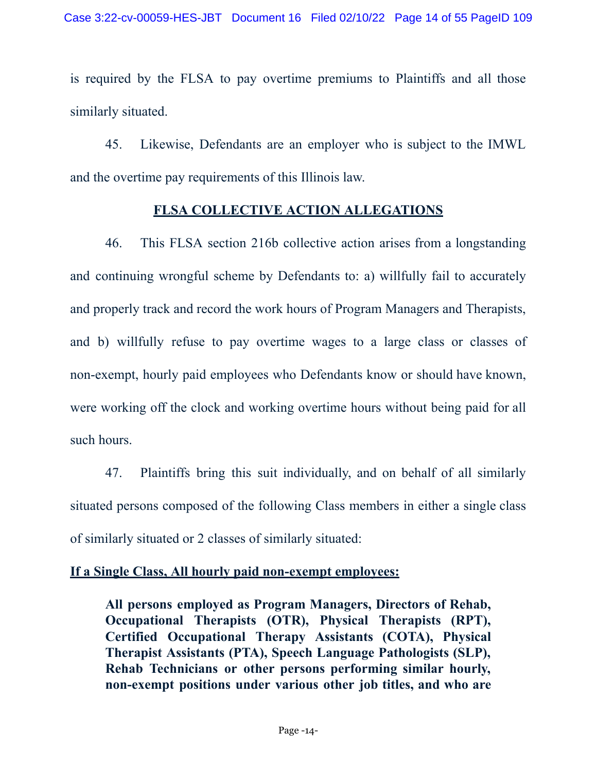is required by the FLSA to pay overtime premiums to Plaintiffs and all those similarly situated.

45. Likewise, Defendants are an employer who is subject to the IMWL and the overtime pay requirements of this Illinois law.

#### **FLSA COLLECTIVE ACTION ALLEGATIONS**

46. This FLSA section 216b collective action arises from a longstanding and continuing wrongful scheme by Defendants to: a) willfully fail to accurately and properly track and record the work hours of Program Managers and Therapists, and b) willfully refuse to pay overtime wages to a large class or classes of non-exempt, hourly paid employees who Defendants know or should have known, were working off the clock and working overtime hours without being paid for all such hours.

47. Plaintiffs bring this suit individually, and on behalf of all similarly situated persons composed of the following Class members in either a single class of similarly situated or 2 classes of similarly situated:

#### **If a Single Class, All hourly paid non-exempt employees:**

**All persons employed as Program Managers, Directors of Rehab, Occupational Therapists (OTR), Physical Therapists (RPT), Certified Occupational Therapy Assistants (COTA), Physical Therapist Assistants (PTA), Speech Language Pathologists (SLP), Rehab Technicians or other persons performing similar hourly, non-exempt positions under various other job titles, and who are**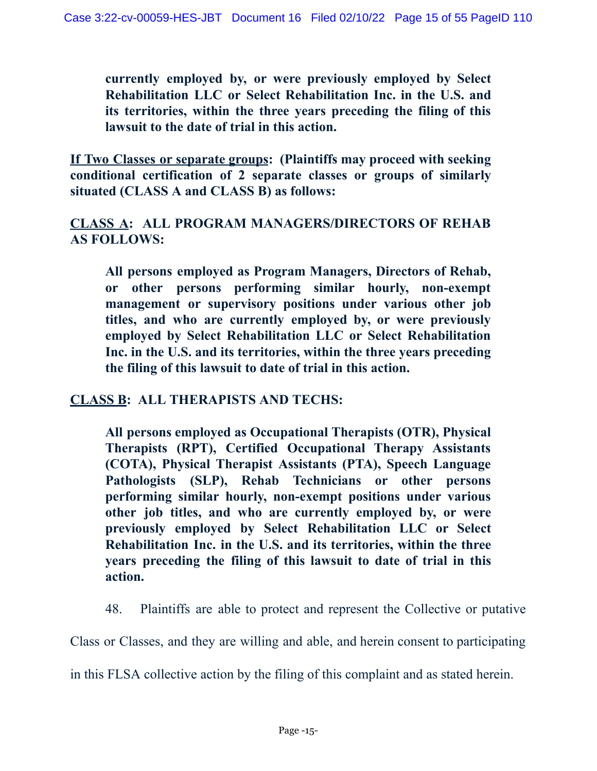**currently employed by, or were previously employed by Select Rehabilitation LLC or Select Rehabilitation Inc. in the U.S. and its territories, within the three years preceding the filing of this lawsuit to the date of trial in this action.**

**If Two Classes or separate groups: (Plaintiffs may proceed with seeking conditional certification of 2 separate classes or groups of similarly situated (CLASS A and CLASS B) as follows:**

## **CLASS A: ALL PROGRAM MANAGERS/DIRECTORS OF REHAB AS FOLLOWS:**

**All persons employed as Program Managers, Directors of Rehab, or other persons performing similar hourly, non-exempt management or supervisory positions under various other job titles, and who are currently employed by, or were previously employed by Select Rehabilitation LLC or Select Rehabilitation Inc. in the U.S. and its territories, within the three years preceding the filing of this lawsuit to date of trial in this action.**

## **CLASS B: ALL THERAPISTS AND TECHS:**

**All persons employed as Occupational Therapists (OTR), Physical Therapists (RPT), Certified Occupational Therapy Assistants (COTA), Physical Therapist Assistants (PTA), Speech Language Pathologists (SLP), Rehab Technicians or other persons performing similar hourly, non-exempt positions under various other job titles, and who are currently employed by, or were previously employed by Select Rehabilitation LLC or Select Rehabilitation Inc. in the U.S. and its territories, within the three years preceding the filing of this lawsuit to date of trial in this action.**

48. Plaintiffs are able to protect and represent the Collective or putative

Class or Classes, and they are willing and able, and herein consent to participating

in this FLSA collective action by the filing of this complaint and as stated herein.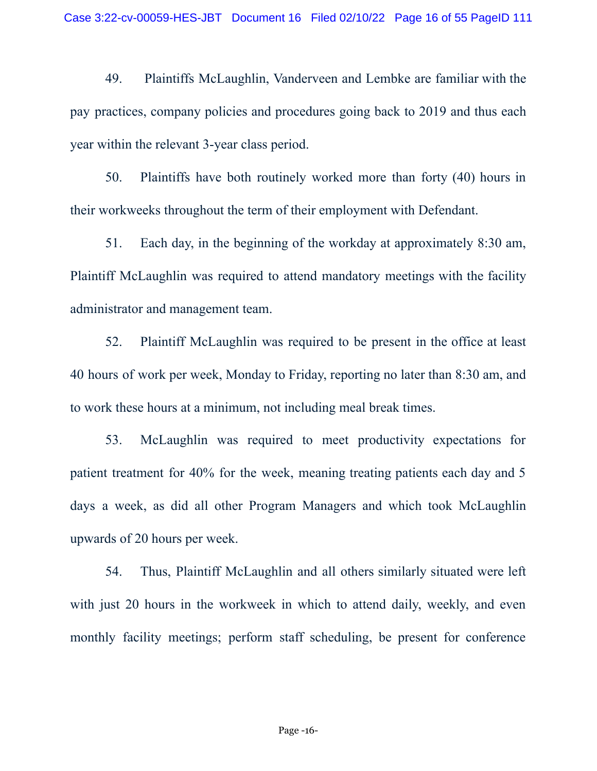49. Plaintiffs McLaughlin, Vanderveen and Lembke are familiar with the pay practices, company policies and procedures going back to 2019 and thus each year within the relevant 3-year class period.

50. Plaintiffs have both routinely worked more than forty (40) hours in their workweeks throughout the term of their employment with Defendant.

51. Each day, in the beginning of the workday at approximately 8:30 am, Plaintiff McLaughlin was required to attend mandatory meetings with the facility administrator and management team.

52. Plaintiff McLaughlin was required to be present in the office at least 40 hours of work per week, Monday to Friday, reporting no later than 8:30 am, and to work these hours at a minimum, not including meal break times.

53. McLaughlin was required to meet productivity expectations for patient treatment for 40% for the week, meaning treating patients each day and 5 days a week, as did all other Program Managers and which took McLaughlin upwards of 20 hours per week.

54. Thus, Plaintiff McLaughlin and all others similarly situated were left with just 20 hours in the workweek in which to attend daily, weekly, and even monthly facility meetings; perform staff scheduling, be present for conference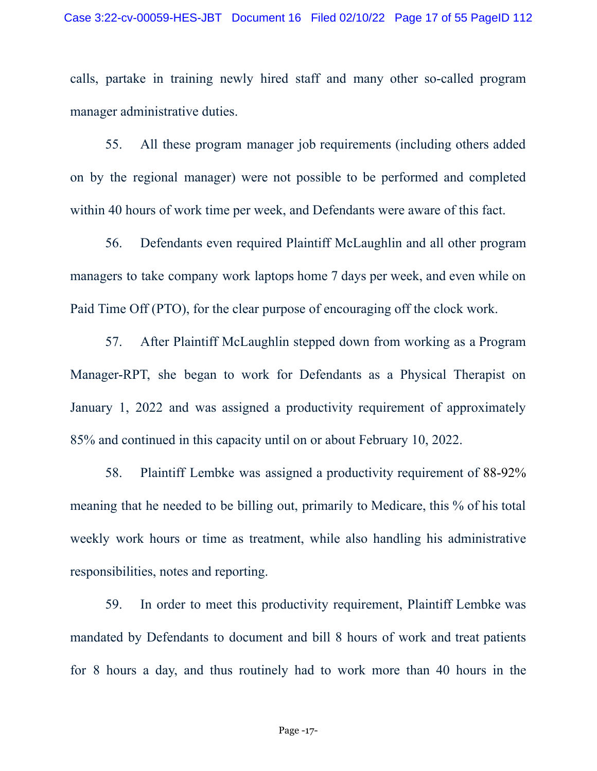calls, partake in training newly hired staff and many other so-called program manager administrative duties.

55. All these program manager job requirements (including others added on by the regional manager) were not possible to be performed and completed within 40 hours of work time per week, and Defendants were aware of this fact.

56. Defendants even required Plaintiff McLaughlin and all other program managers to take company work laptops home 7 days per week, and even while on Paid Time Off (PTO), for the clear purpose of encouraging off the clock work.

57. After Plaintiff McLaughlin stepped down from working as a Program Manager-RPT, she began to work for Defendants as a Physical Therapist on January 1, 2022 and was assigned a productivity requirement of approximately 85% and continued in this capacity until on or about February 10, 2022.

58. Plaintiff Lembke was assigned a productivity requirement of 88-92% meaning that he needed to be billing out, primarily to Medicare, this % of his total weekly work hours or time as treatment, while also handling his administrative responsibilities, notes and reporting.

59. In order to meet this productivity requirement, Plaintiff Lembke was mandated by Defendants to document and bill 8 hours of work and treat patients for 8 hours a day, and thus routinely had to work more than 40 hours in the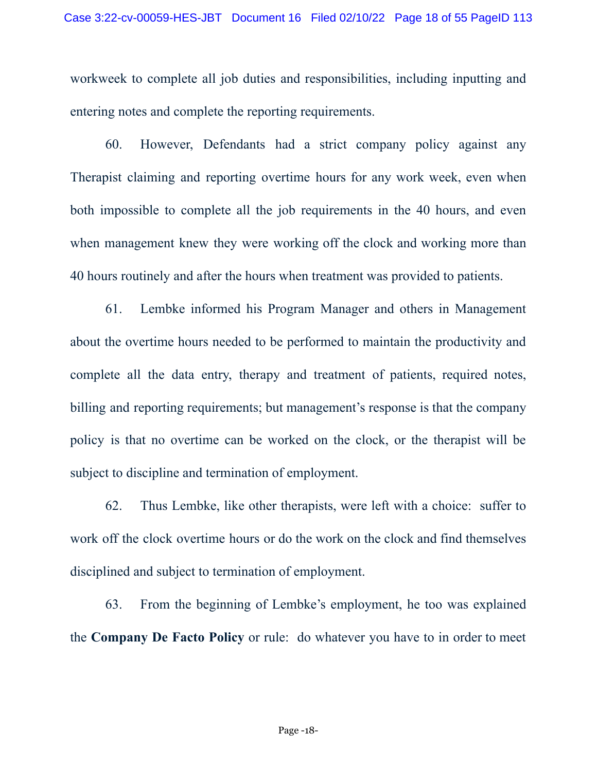workweek to complete all job duties and responsibilities, including inputting and entering notes and complete the reporting requirements.

60. However, Defendants had a strict company policy against any Therapist claiming and reporting overtime hours for any work week, even when both impossible to complete all the job requirements in the 40 hours, and even when management knew they were working off the clock and working more than 40 hours routinely and after the hours when treatment was provided to patients.

61. Lembke informed his Program Manager and others in Management about the overtime hours needed to be performed to maintain the productivity and complete all the data entry, therapy and treatment of patients, required notes, billing and reporting requirements; but management's response is that the company policy is that no overtime can be worked on the clock, or the therapist will be subject to discipline and termination of employment.

62. Thus Lembke, like other therapists, were left with a choice: suffer to work off the clock overtime hours or do the work on the clock and find themselves disciplined and subject to termination of employment.

63. From the beginning of Lembke's employment, he too was explained the **Company De Facto Policy** or rule: do whatever you have to in order to meet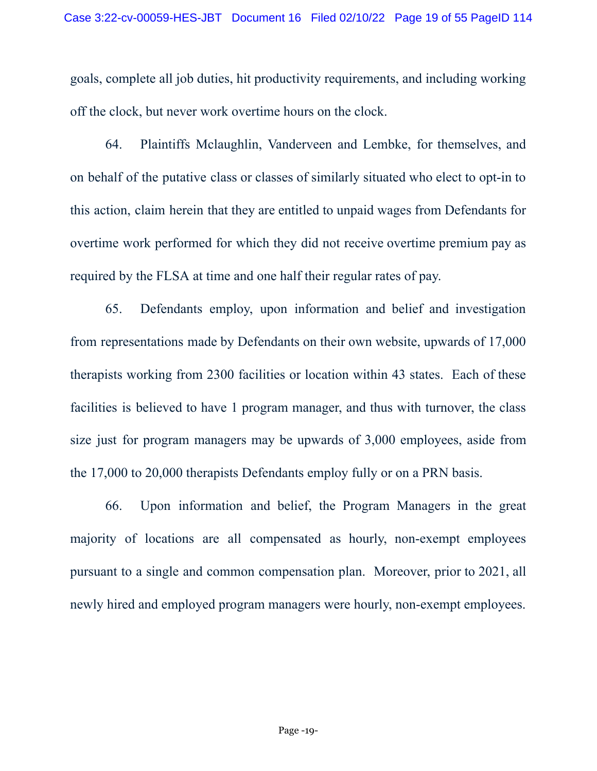goals, complete all job duties, hit productivity requirements, and including working off the clock, but never work overtime hours on the clock.

64. Plaintiffs Mclaughlin, Vanderveen and Lembke, for themselves, and on behalf of the putative class or classes of similarly situated who elect to opt-in to this action, claim herein that they are entitled to unpaid wages from Defendants for overtime work performed for which they did not receive overtime premium pay as required by the FLSA at time and one half their regular rates of pay.

65. Defendants employ, upon information and belief and investigation from representations made by Defendants on their own website, upwards of 17,000 therapists working from 2300 facilities or location within 43 states. Each of these facilities is believed to have 1 program manager, and thus with turnover, the class size just for program managers may be upwards of 3,000 employees, aside from the 17,000 to 20,000 therapists Defendants employ fully or on a PRN basis.

66. Upon information and belief, the Program Managers in the great majority of locations are all compensated as hourly, non-exempt employees pursuant to a single and common compensation plan. Moreover, prior to 2021, all newly hired and employed program managers were hourly, non-exempt employees.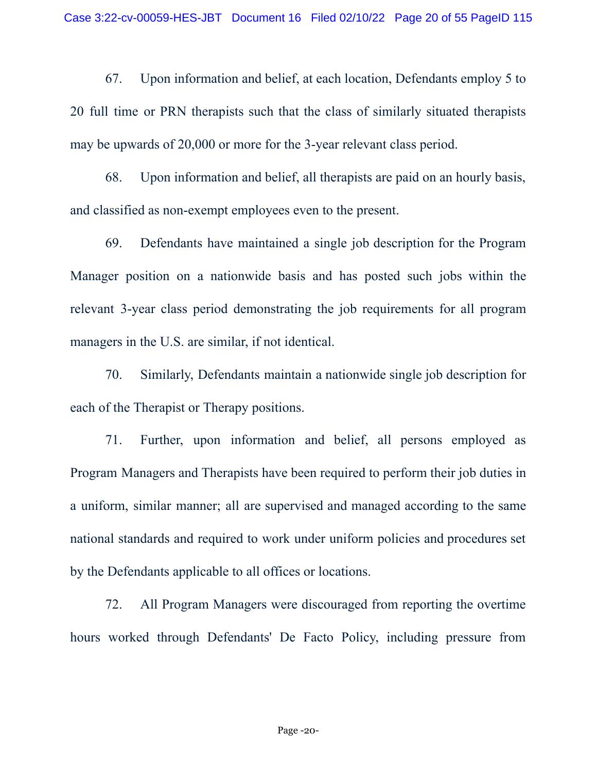67. Upon information and belief, at each location, Defendants employ 5 to 20 full time or PRN therapists such that the class of similarly situated therapists may be upwards of 20,000 or more for the 3-year relevant class period.

68. Upon information and belief, all therapists are paid on an hourly basis, and classified as non-exempt employees even to the present.

69. Defendants have maintained a single job description for the Program Manager position on a nationwide basis and has posted such jobs within the relevant 3-year class period demonstrating the job requirements for all program managers in the U.S. are similar, if not identical.

70. Similarly, Defendants maintain a nationwide single job description for each of the Therapist or Therapy positions.

71. Further, upon information and belief, all persons employed as Program Managers and Therapists have been required to perform their job duties in a uniform, similar manner; all are supervised and managed according to the same national standards and required to work under uniform policies and procedures set by the Defendants applicable to all offices or locations.

72. All Program Managers were discouraged from reporting the overtime hours worked through Defendants' De Facto Policy, including pressure from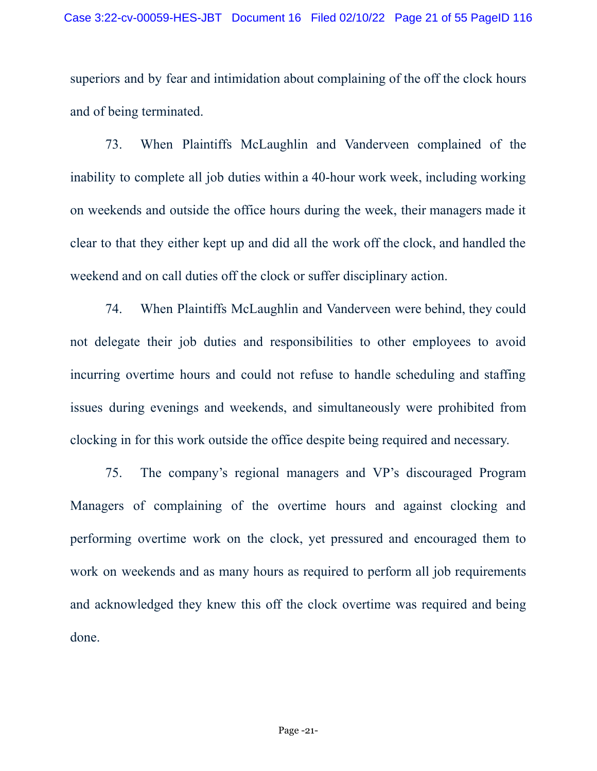superiors and by fear and intimidation about complaining of the off the clock hours and of being terminated.

73. When Plaintiffs McLaughlin and Vanderveen complained of the inability to complete all job duties within a 40-hour work week, including working on weekends and outside the office hours during the week, their managers made it clear to that they either kept up and did all the work off the clock, and handled the weekend and on call duties off the clock or suffer disciplinary action.

74. When Plaintiffs McLaughlin and Vanderveen were behind, they could not delegate their job duties and responsibilities to other employees to avoid incurring overtime hours and could not refuse to handle scheduling and staffing issues during evenings and weekends, and simultaneously were prohibited from clocking in for this work outside the office despite being required and necessary.

75. The company's regional managers and VP's discouraged Program Managers of complaining of the overtime hours and against clocking and performing overtime work on the clock, yet pressured and encouraged them to work on weekends and as many hours as required to perform all job requirements and acknowledged they knew this off the clock overtime was required and being done.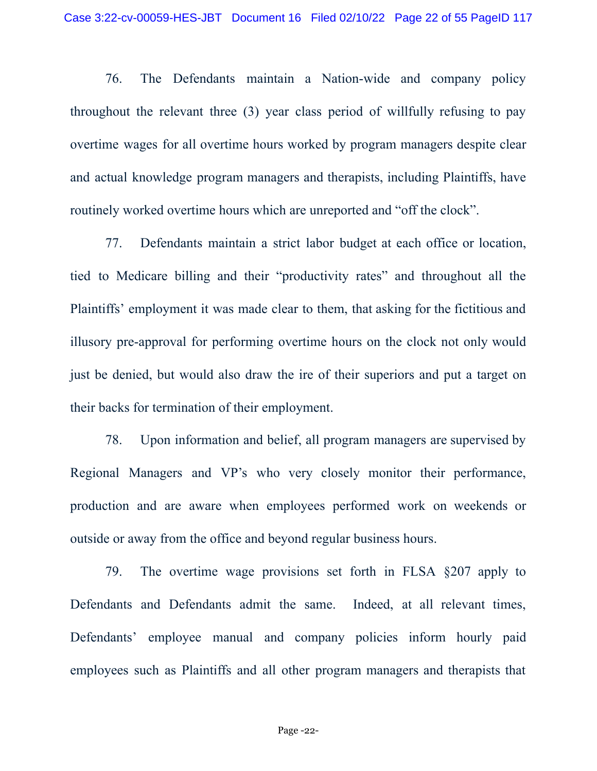76. The Defendants maintain a Nation-wide and company policy throughout the relevant three (3) year class period of willfully refusing to pay overtime wages for all overtime hours worked by program managers despite clear and actual knowledge program managers and therapists, including Plaintiffs, have routinely worked overtime hours which are unreported and "off the clock".

77. Defendants maintain a strict labor budget at each office or location, tied to Medicare billing and their "productivity rates" and throughout all the Plaintiffs' employment it was made clear to them, that asking for the fictitious and illusory pre-approval for performing overtime hours on the clock not only would just be denied, but would also draw the ire of their superiors and put a target on their backs for termination of their employment.

78. Upon information and belief, all program managers are supervised by Regional Managers and VP's who very closely monitor their performance, production and are aware when employees performed work on weekends or outside or away from the office and beyond regular business hours.

79. The overtime wage provisions set forth in FLSA §207 apply to Defendants and Defendants admit the same. Indeed, at all relevant times, Defendants' employee manual and company policies inform hourly paid employees such as Plaintiffs and all other program managers and therapists that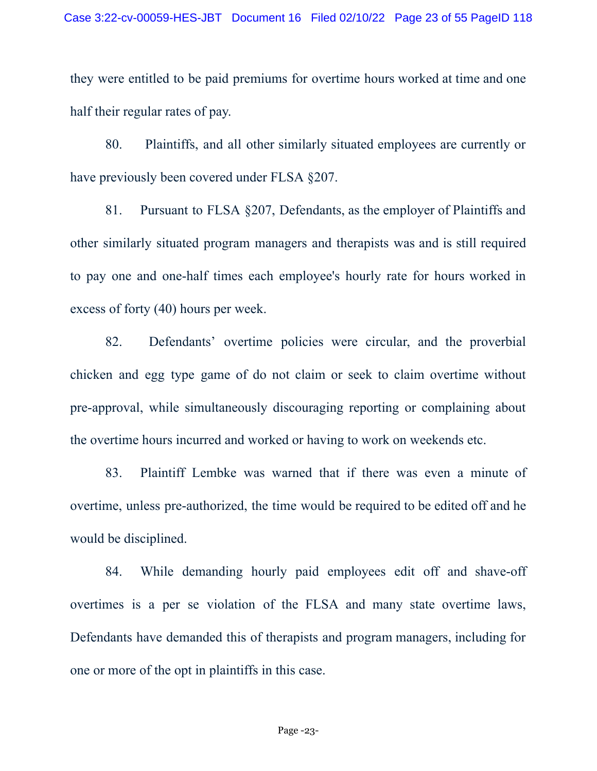they were entitled to be paid premiums for overtime hours worked at time and one half their regular rates of pay.

80. Plaintiffs, and all other similarly situated employees are currently or have previously been covered under FLSA §207.

81. Pursuant to FLSA §207, Defendants, as the employer of Plaintiffs and other similarly situated program managers and therapists was and is still required to pay one and one-half times each employee's hourly rate for hours worked in excess of forty (40) hours per week.

82. Defendants' overtime policies were circular, and the proverbial chicken and egg type game of do not claim or seek to claim overtime without pre-approval, while simultaneously discouraging reporting or complaining about the overtime hours incurred and worked or having to work on weekends etc.

83. Plaintiff Lembke was warned that if there was even a minute of overtime, unless pre-authorized, the time would be required to be edited off and he would be disciplined.

84. While demanding hourly paid employees edit off and shave-off overtimes is a per se violation of the FLSA and many state overtime laws, Defendants have demanded this of therapists and program managers, including for one or more of the opt in plaintiffs in this case.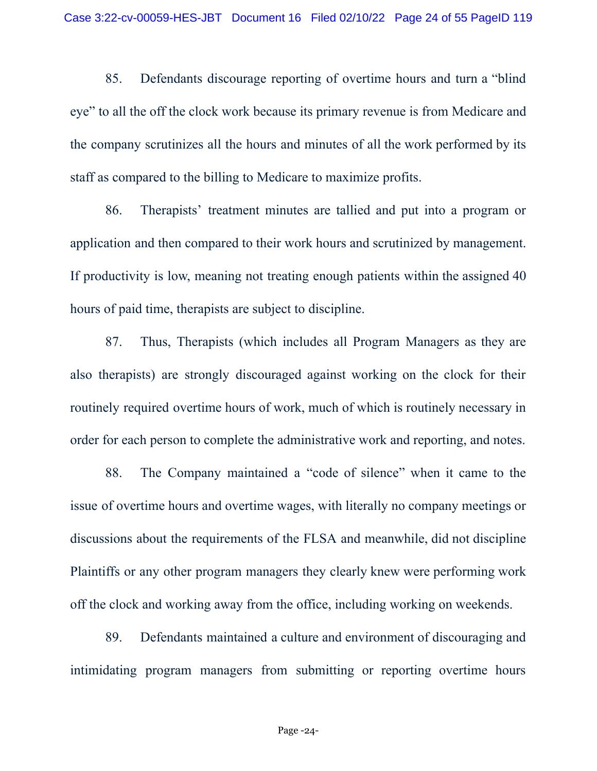85. Defendants discourage reporting of overtime hours and turn a "blind eye" to all the off the clock work because its primary revenue is from Medicare and the company scrutinizes all the hours and minutes of all the work performed by its staff as compared to the billing to Medicare to maximize profits.

86. Therapists' treatment minutes are tallied and put into a program or application and then compared to their work hours and scrutinized by management. If productivity is low, meaning not treating enough patients within the assigned 40 hours of paid time, therapists are subject to discipline.

87. Thus, Therapists (which includes all Program Managers as they are also therapists) are strongly discouraged against working on the clock for their routinely required overtime hours of work, much of which is routinely necessary in order for each person to complete the administrative work and reporting, and notes.

88. The Company maintained a "code of silence" when it came to the issue of overtime hours and overtime wages, with literally no company meetings or discussions about the requirements of the FLSA and meanwhile, did not discipline Plaintiffs or any other program managers they clearly knew were performing work off the clock and working away from the office, including working on weekends.

89. Defendants maintained a culture and environment of discouraging and intimidating program managers from submitting or reporting overtime hours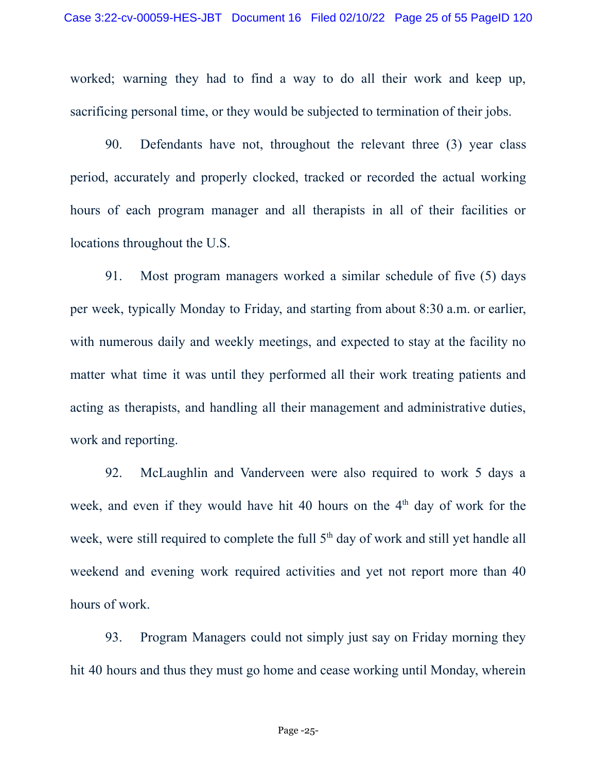worked; warning they had to find a way to do all their work and keep up, sacrificing personal time, or they would be subjected to termination of their jobs.

90. Defendants have not, throughout the relevant three (3) year class period, accurately and properly clocked, tracked or recorded the actual working hours of each program manager and all therapists in all of their facilities or locations throughout the U.S.

91. Most program managers worked a similar schedule of five (5) days per week, typically Monday to Friday, and starting from about 8:30 a.m. or earlier, with numerous daily and weekly meetings, and expected to stay at the facility no matter what time it was until they performed all their work treating patients and acting as therapists, and handling all their management and administrative duties, work and reporting.

92. McLaughlin and Vanderveen were also required to work 5 days a week, and even if they would have hit 40 hours on the  $4<sup>th</sup>$  day of work for the week, were still required to complete the full  $5<sup>th</sup>$  day of work and still yet handle all weekend and evening work required activities and yet not report more than 40 hours of work.

93. Program Managers could not simply just say on Friday morning they hit 40 hours and thus they must go home and cease working until Monday, wherein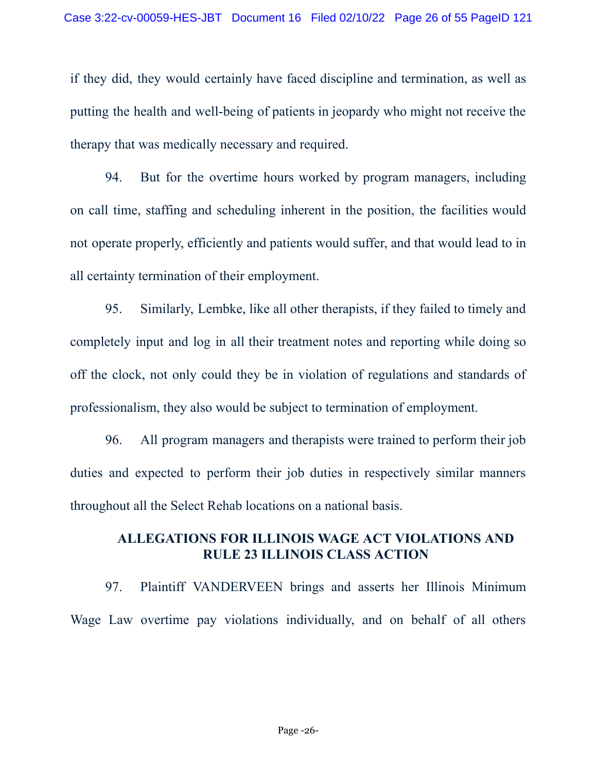if they did, they would certainly have faced discipline and termination, as well as putting the health and well-being of patients in jeopardy who might not receive the therapy that was medically necessary and required.

94. But for the overtime hours worked by program managers, including on call time, staffing and scheduling inherent in the position, the facilities would not operate properly, efficiently and patients would suffer, and that would lead to in all certainty termination of their employment.

95. Similarly, Lembke, like all other therapists, if they failed to timely and completely input and log in all their treatment notes and reporting while doing so off the clock, not only could they be in violation of regulations and standards of professionalism, they also would be subject to termination of employment.

96. All program managers and therapists were trained to perform their job duties and expected to perform their job duties in respectively similar manners throughout all the Select Rehab locations on a national basis.

#### **ALLEGATIONS FOR ILLINOIS WAGE ACT VIOLATIONS AND RULE 23 ILLINOIS CLASS ACTION**

97. Plaintiff VANDERVEEN brings and asserts her Illinois Minimum Wage Law overtime pay violations individually, and on behalf of all others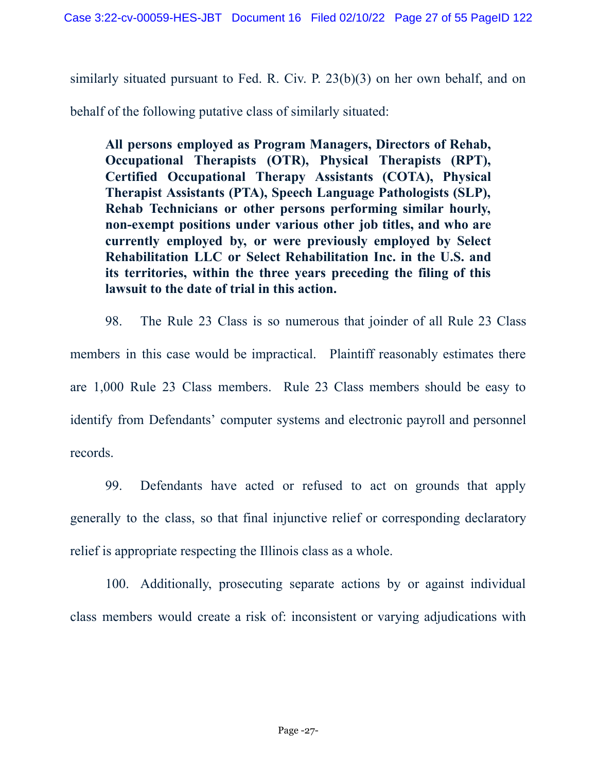similarly situated pursuant to Fed. R. Civ. P. 23(b)(3) on her own behalf, and on

behalf of the following putative class of similarly situated:

**All persons employed as Program Managers, Directors of Rehab, Occupational Therapists (OTR), Physical Therapists (RPT), Certified Occupational Therapy Assistants (COTA), Physical Therapist Assistants (PTA), Speech Language Pathologists (SLP), Rehab Technicians or other persons performing similar hourly, non-exempt positions under various other job titles, and who are currently employed by, or were previously employed by Select Rehabilitation LLC or Select Rehabilitation Inc. in the U.S. and its territories, within the three years preceding the filing of this lawsuit to the date of trial in this action.**

98. The Rule 23 Class is so numerous that joinder of all Rule 23 Class members in this case would be impractical. Plaintiff reasonably estimates there are 1,000 Rule 23 Class members. Rule 23 Class members should be easy to identify from Defendants' computer systems and electronic payroll and personnel records.

99. Defendants have acted or refused to act on grounds that apply generally to the class, so that final injunctive relief or corresponding declaratory relief is appropriate respecting the Illinois class as a whole.

100. Additionally, prosecuting separate actions by or against individual class members would create a risk of: inconsistent or varying adjudications with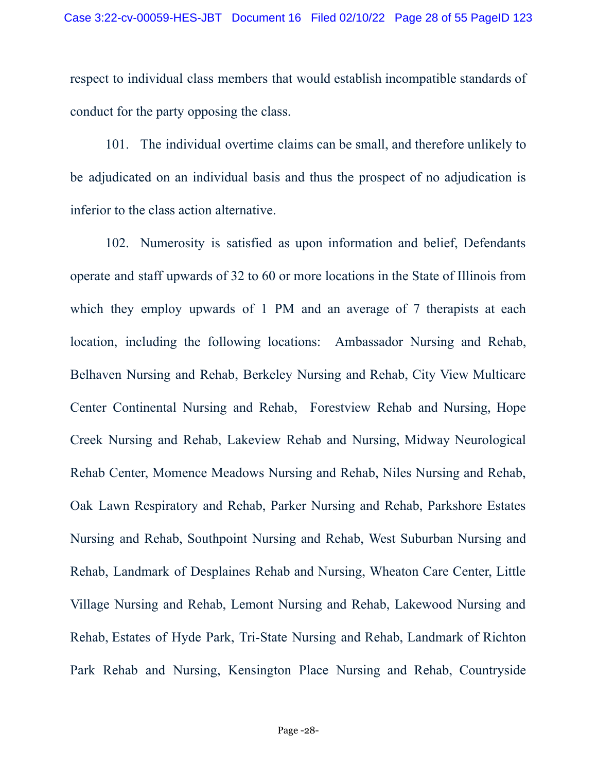respect to individual class members that would establish incompatible standards of conduct for the party opposing the class.

101. The individual overtime claims can be small, and therefore unlikely to be adjudicated on an individual basis and thus the prospect of no adjudication is inferior to the class action alternative.

102. Numerosity is satisfied as upon information and belief, Defendants operate and staff upwards of 32 to 60 or more locations in the State of Illinois from which they employ upwards of 1 PM and an average of 7 therapists at each location, including the following locations: Ambassador Nursing and Rehab, Belhaven Nursing and Rehab, Berkeley Nursing and Rehab, City View Multicare Center Continental Nursing and Rehab, Forestview Rehab and Nursing, Hope Creek Nursing and Rehab, Lakeview Rehab and Nursing, Midway Neurological Rehab Center, Momence Meadows Nursing and Rehab, Niles Nursing and Rehab, Oak Lawn Respiratory and Rehab, Parker Nursing and Rehab, Parkshore Estates Nursing and Rehab, Southpoint Nursing and Rehab, West Suburban Nursing and Rehab, Landmark of Desplaines Rehab and Nursing, Wheaton Care Center, Little Village Nursing and Rehab, Lemont Nursing and Rehab, Lakewood Nursing and Rehab, Estates of Hyde Park, Tri-State Nursing and Rehab, Landmark of Richton Park Rehab and Nursing, Kensington Place Nursing and Rehab, Countryside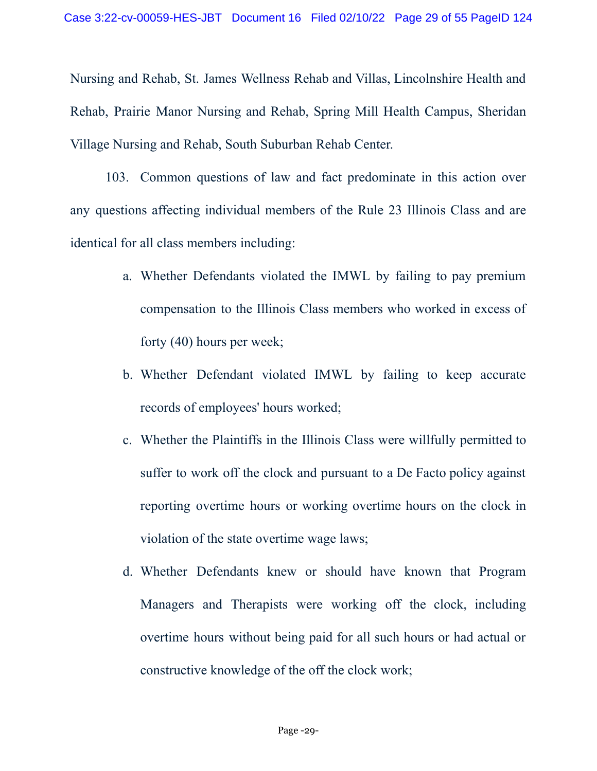Nursing and Rehab, St. James Wellness Rehab and Villas, Lincolnshire Health and Rehab, Prairie Manor Nursing and Rehab, Spring Mill Health Campus, Sheridan Village Nursing and Rehab, South Suburban Rehab Center.

103. Common questions of law and fact predominate in this action over any questions affecting individual members of the Rule 23 Illinois Class and are identical for all class members including:

- a. Whether Defendants violated the IMWL by failing to pay premium compensation to the Illinois Class members who worked in excess of forty (40) hours per week;
- b. Whether Defendant violated IMWL by failing to keep accurate records of employees' hours worked;
- c. Whether the Plaintiffs in the Illinois Class were willfully permitted to suffer to work off the clock and pursuant to a De Facto policy against reporting overtime hours or working overtime hours on the clock in violation of the state overtime wage laws;
- d. Whether Defendants knew or should have known that Program Managers and Therapists were working off the clock, including overtime hours without being paid for all such hours or had actual or constructive knowledge of the off the clock work;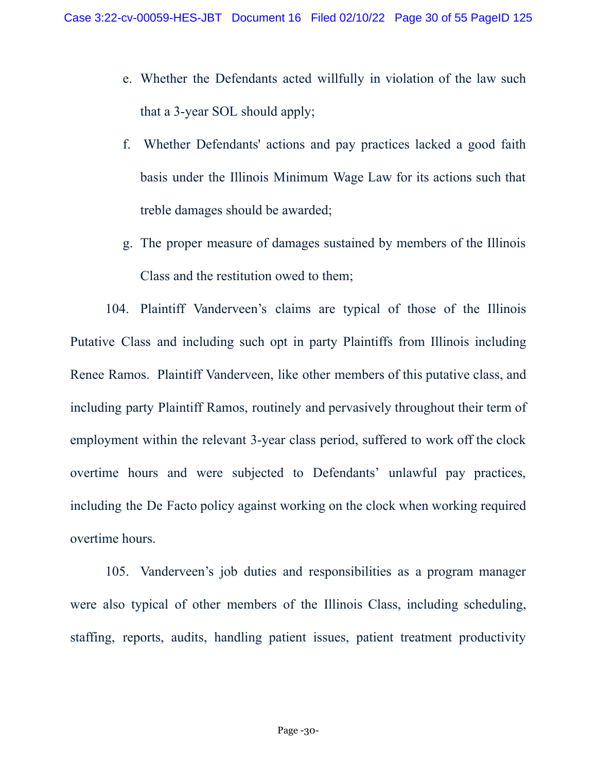- e. Whether the Defendants acted willfully in violation of the law such that a 3-year SOL should apply;
- f. Whether Defendants' actions and pay practices lacked a good faith basis under the Illinois Minimum Wage Law for its actions such that treble damages should be awarded;
- g. The proper measure of damages sustained by members of the Illinois Class and the restitution owed to them;

104. Plaintiff Vanderveen's claims are typical of those of the Illinois Putative Class and including such opt in party Plaintiffs from Illinois including Renee Ramos. Plaintiff Vanderveen, like other members of this putative class, and including party Plaintiff Ramos, routinely and pervasively throughout their term of employment within the relevant 3-year class period, suffered to work off the clock overtime hours and were subjected to Defendants' unlawful pay practices, including the De Facto policy against working on the clock when working required overtime hours.

105. Vanderveen's job duties and responsibilities as a program manager were also typical of other members of the Illinois Class, including scheduling, staffing, reports, audits, handling patient issues, patient treatment productivity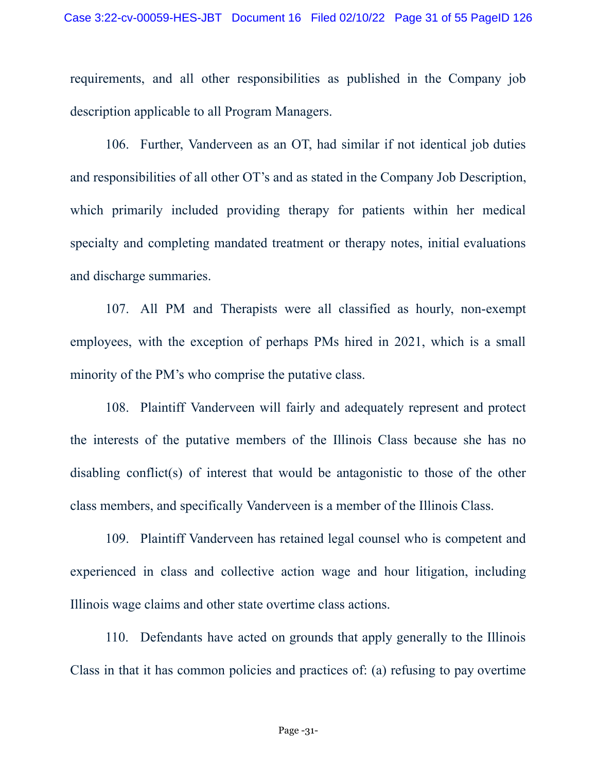requirements, and all other responsibilities as published in the Company job description applicable to all Program Managers.

106. Further, Vanderveen as an OT, had similar if not identical job duties and responsibilities of all other OT's and as stated in the Company Job Description, which primarily included providing therapy for patients within her medical specialty and completing mandated treatment or therapy notes, initial evaluations and discharge summaries.

107. All PM and Therapists were all classified as hourly, non-exempt employees, with the exception of perhaps PMs hired in 2021, which is a small minority of the PM's who comprise the putative class.

108. Plaintiff Vanderveen will fairly and adequately represent and protect the interests of the putative members of the Illinois Class because she has no disabling conflict(s) of interest that would be antagonistic to those of the other class members, and specifically Vanderveen is a member of the Illinois Class.

109. Plaintiff Vanderveen has retained legal counsel who is competent and experienced in class and collective action wage and hour litigation, including Illinois wage claims and other state overtime class actions.

110. Defendants have acted on grounds that apply generally to the Illinois Class in that it has common policies and practices of: (a) refusing to pay overtime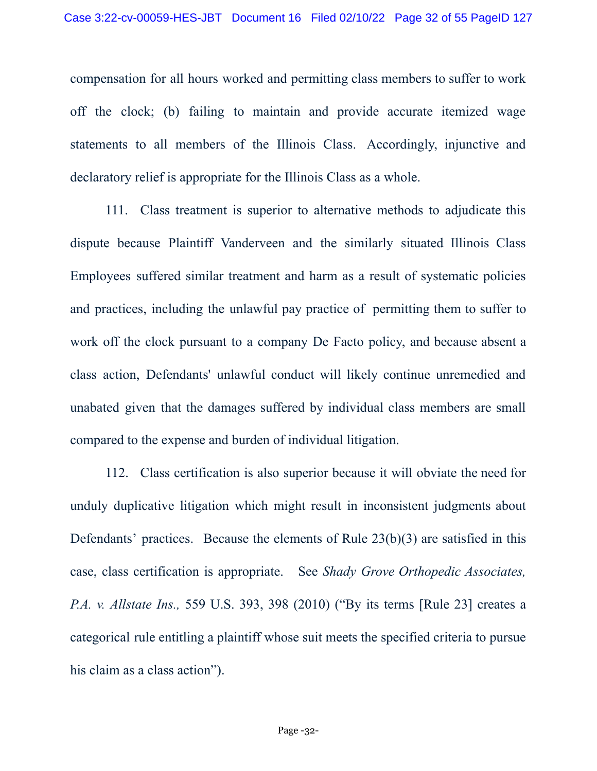compensation for all hours worked and permitting class members to suffer to work off the clock; (b) failing to maintain and provide accurate itemized wage statements to all members of the Illinois Class. Accordingly, injunctive and declaratory relief is appropriate for the Illinois Class as a whole.

111. Class treatment is superior to alternative methods to adjudicate this dispute because Plaintiff Vanderveen and the similarly situated Illinois Class Employees suffered similar treatment and harm as a result of systematic policies and practices, including the unlawful pay practice of permitting them to suffer to work off the clock pursuant to a company De Facto policy, and because absent a class action, Defendants' unlawful conduct will likely continue unremedied and unabated given that the damages suffered by individual class members are small compared to the expense and burden of individual litigation.

112. Class certification is also superior because it will obviate the need for unduly duplicative litigation which might result in inconsistent judgments about Defendants' practices. Because the elements of Rule 23(b)(3) are satisfied in this case, class certification is appropriate. See *Shady Grove Orthopedic Associates, P.A. v. Allstate Ins.,* 559 U.S. 393, 398 (2010) ("By its terms [Rule 23] creates a categorical rule entitling a plaintiff whose suit meets the specified criteria to pursue his claim as a class action").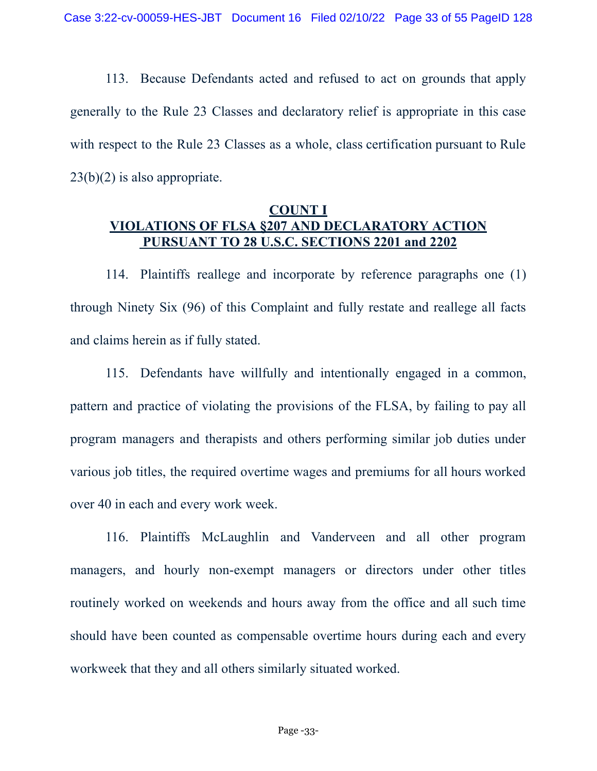113. Because Defendants acted and refused to act on grounds that apply generally to the Rule 23 Classes and declaratory relief is appropriate in this case with respect to the Rule 23 Classes as a whole, class certification pursuant to Rule 23(b)(2) is also appropriate.

## **COUNT I VIOLATIONS OF FLSA §207 AND DECLARATORY ACTION PURSUANT TO 28 U.S.C. SECTIONS 2201 and 2202**

114. Plaintiffs reallege and incorporate by reference paragraphs one (1) through Ninety Six (96) of this Complaint and fully restate and reallege all facts and claims herein as if fully stated.

115. Defendants have willfully and intentionally engaged in a common, pattern and practice of violating the provisions of the FLSA, by failing to pay all program managers and therapists and others performing similar job duties under various job titles, the required overtime wages and premiums for all hours worked over 40 in each and every work week.

116. Plaintiffs McLaughlin and Vanderveen and all other program managers, and hourly non-exempt managers or directors under other titles routinely worked on weekends and hours away from the office and all such time should have been counted as compensable overtime hours during each and every workweek that they and all others similarly situated worked.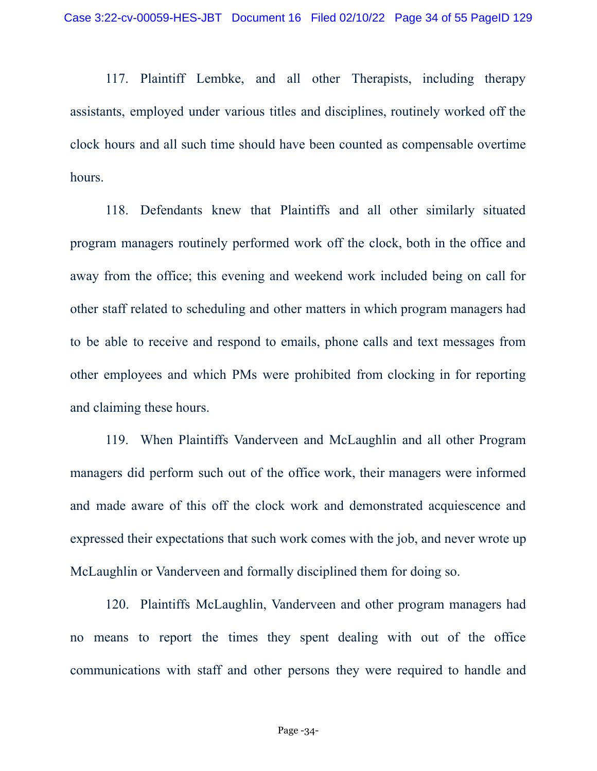117. Plaintiff Lembke, and all other Therapists, including therapy assistants, employed under various titles and disciplines, routinely worked off the clock hours and all such time should have been counted as compensable overtime hours.

118. Defendants knew that Plaintiffs and all other similarly situated program managers routinely performed work off the clock, both in the office and away from the office; this evening and weekend work included being on call for other staff related to scheduling and other matters in which program managers had to be able to receive and respond to emails, phone calls and text messages from other employees and which PMs were prohibited from clocking in for reporting and claiming these hours.

119. When Plaintiffs Vanderveen and McLaughlin and all other Program managers did perform such out of the office work, their managers were informed and made aware of this off the clock work and demonstrated acquiescence and expressed their expectations that such work comes with the job, and never wrote up McLaughlin or Vanderveen and formally disciplined them for doing so.

120. Plaintiffs McLaughlin, Vanderveen and other program managers had no means to report the times they spent dealing with out of the office communications with staff and other persons they were required to handle and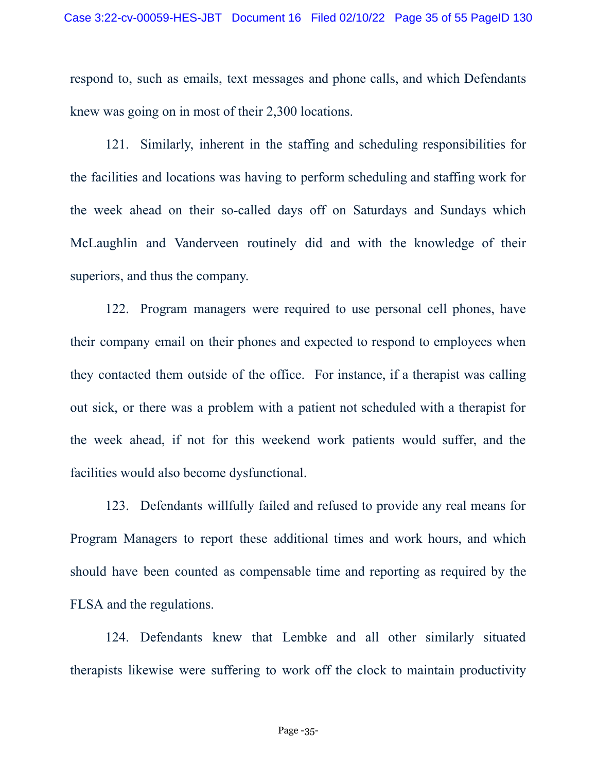respond to, such as emails, text messages and phone calls, and which Defendants knew was going on in most of their 2,300 locations.

121. Similarly, inherent in the staffing and scheduling responsibilities for the facilities and locations was having to perform scheduling and staffing work for the week ahead on their so-called days off on Saturdays and Sundays which McLaughlin and Vanderveen routinely did and with the knowledge of their superiors, and thus the company.

122. Program managers were required to use personal cell phones, have their company email on their phones and expected to respond to employees when they contacted them outside of the office. For instance, if a therapist was calling out sick, or there was a problem with a patient not scheduled with a therapist for the week ahead, if not for this weekend work patients would suffer, and the facilities would also become dysfunctional.

123. Defendants willfully failed and refused to provide any real means for Program Managers to report these additional times and work hours, and which should have been counted as compensable time and reporting as required by the FLSA and the regulations.

124. Defendants knew that Lembke and all other similarly situated therapists likewise were suffering to work off the clock to maintain productivity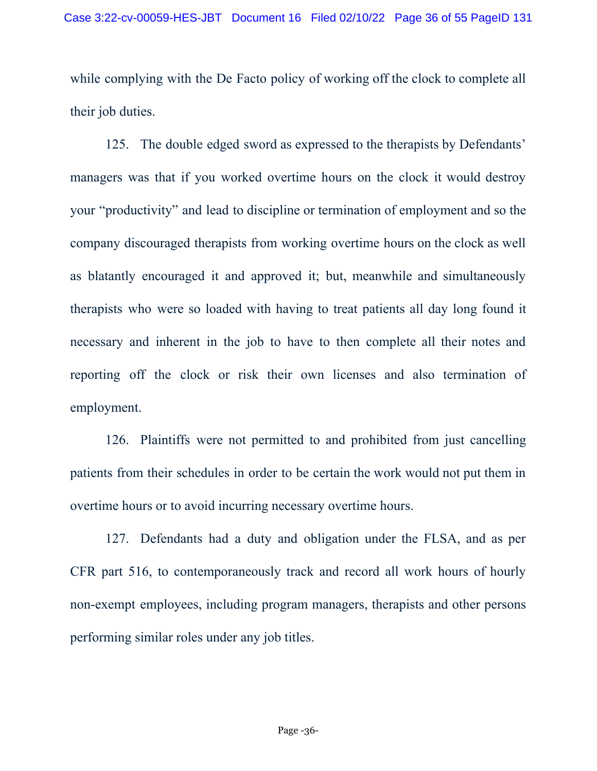while complying with the De Facto policy of working off the clock to complete all their job duties.

125. The double edged sword as expressed to the therapists by Defendants' managers was that if you worked overtime hours on the clock it would destroy your "productivity" and lead to discipline or termination of employment and so the company discouraged therapists from working overtime hours on the clock as well as blatantly encouraged it and approved it; but, meanwhile and simultaneously therapists who were so loaded with having to treat patients all day long found it necessary and inherent in the job to have to then complete all their notes and reporting off the clock or risk their own licenses and also termination of employment.

126. Plaintiffs were not permitted to and prohibited from just cancelling patients from their schedules in order to be certain the work would not put them in overtime hours or to avoid incurring necessary overtime hours.

127. Defendants had a duty and obligation under the FLSA, and as per CFR part 516, to contemporaneously track and record all work hours of hourly non-exempt employees, including program managers, therapists and other persons performing similar roles under any job titles.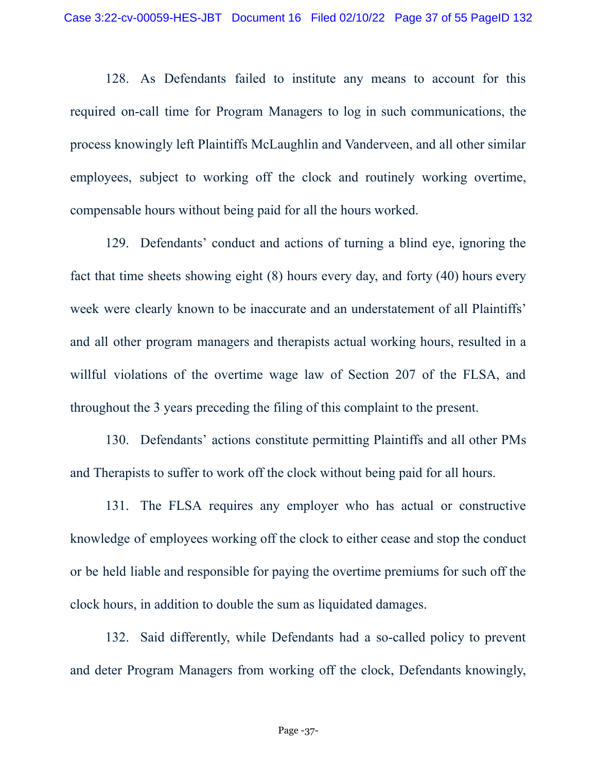128. As Defendants failed to institute any means to account for this required on-call time for Program Managers to log in such communications, the process knowingly left Plaintiffs McLaughlin and Vanderveen, and all other similar employees, subject to working off the clock and routinely working overtime, compensable hours without being paid for all the hours worked.

129. Defendants' conduct and actions of turning a blind eye, ignoring the fact that time sheets showing eight (8) hours every day, and forty (40) hours every week were clearly known to be inaccurate and an understatement of all Plaintiffs' and all other program managers and therapists actual working hours, resulted in a willful violations of the overtime wage law of Section 207 of the FLSA, and throughout the 3 years preceding the filing of this complaint to the present.

130. Defendants' actions constitute permitting Plaintiffs and all other PMs and Therapists to suffer to work off the clock without being paid for all hours.

131. The FLSA requires any employer who has actual or constructive knowledge of employees working off the clock to either cease and stop the conduct or be held liable and responsible for paying the overtime premiums for such off the clock hours, in addition to double the sum as liquidated damages.

132. Said differently, while Defendants had a so-called policy to prevent and deter Program Managers from working off the clock, Defendants knowingly,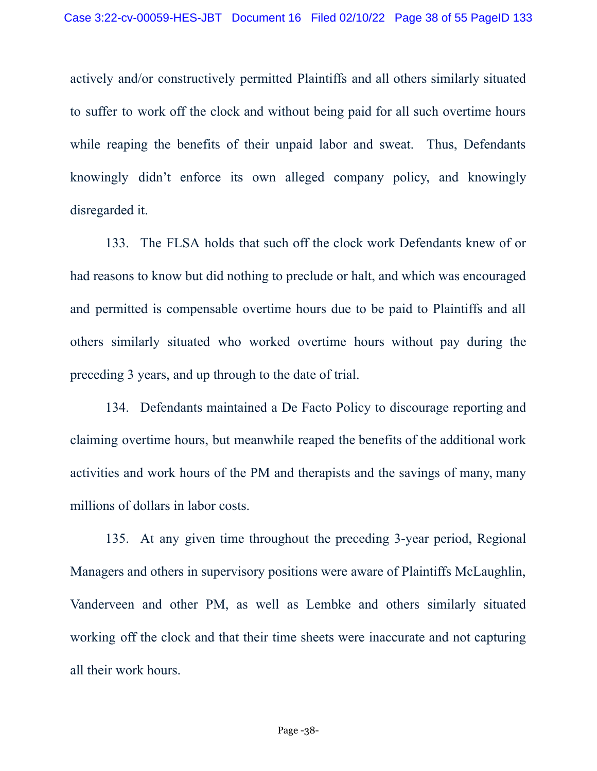actively and/or constructively permitted Plaintiffs and all others similarly situated to suffer to work off the clock and without being paid for all such overtime hours while reaping the benefits of their unpaid labor and sweat. Thus, Defendants knowingly didn't enforce its own alleged company policy, and knowingly disregarded it.

133. The FLSA holds that such off the clock work Defendants knew of or had reasons to know but did nothing to preclude or halt, and which was encouraged and permitted is compensable overtime hours due to be paid to Plaintiffs and all others similarly situated who worked overtime hours without pay during the preceding 3 years, and up through to the date of trial.

134. Defendants maintained a De Facto Policy to discourage reporting and claiming overtime hours, but meanwhile reaped the benefits of the additional work activities and work hours of the PM and therapists and the savings of many, many millions of dollars in labor costs.

135. At any given time throughout the preceding 3-year period, Regional Managers and others in supervisory positions were aware of Plaintiffs McLaughlin, Vanderveen and other PM, as well as Lembke and others similarly situated working off the clock and that their time sheets were inaccurate and not capturing all their work hours.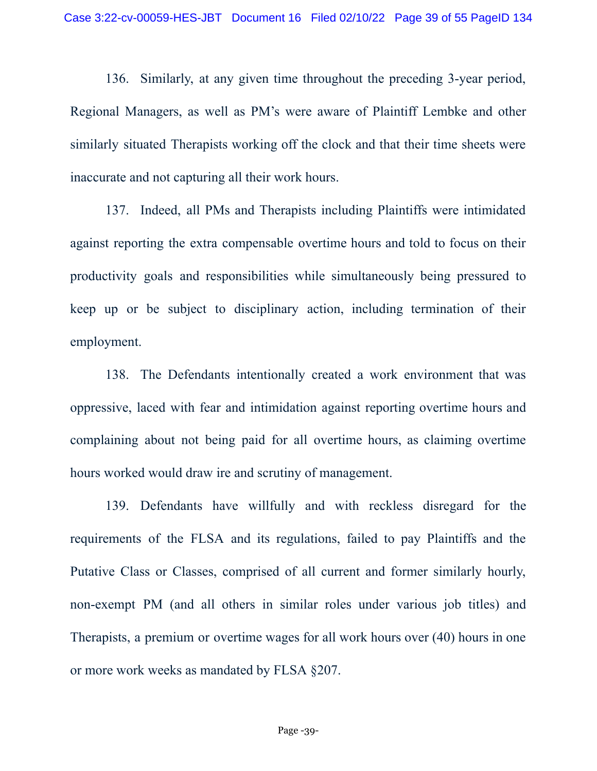136. Similarly, at any given time throughout the preceding 3-year period, Regional Managers, as well as PM's were aware of Plaintiff Lembke and other similarly situated Therapists working off the clock and that their time sheets were inaccurate and not capturing all their work hours.

137. Indeed, all PMs and Therapists including Plaintiffs were intimidated against reporting the extra compensable overtime hours and told to focus on their productivity goals and responsibilities while simultaneously being pressured to keep up or be subject to disciplinary action, including termination of their employment.

138. The Defendants intentionally created a work environment that was oppressive, laced with fear and intimidation against reporting overtime hours and complaining about not being paid for all overtime hours, as claiming overtime hours worked would draw ire and scrutiny of management.

139. Defendants have willfully and with reckless disregard for the requirements of the FLSA and its regulations, failed to pay Plaintiffs and the Putative Class or Classes, comprised of all current and former similarly hourly, non-exempt PM (and all others in similar roles under various job titles) and Therapists, a premium or overtime wages for all work hours over (40) hours in one or more work weeks as mandated by FLSA §207.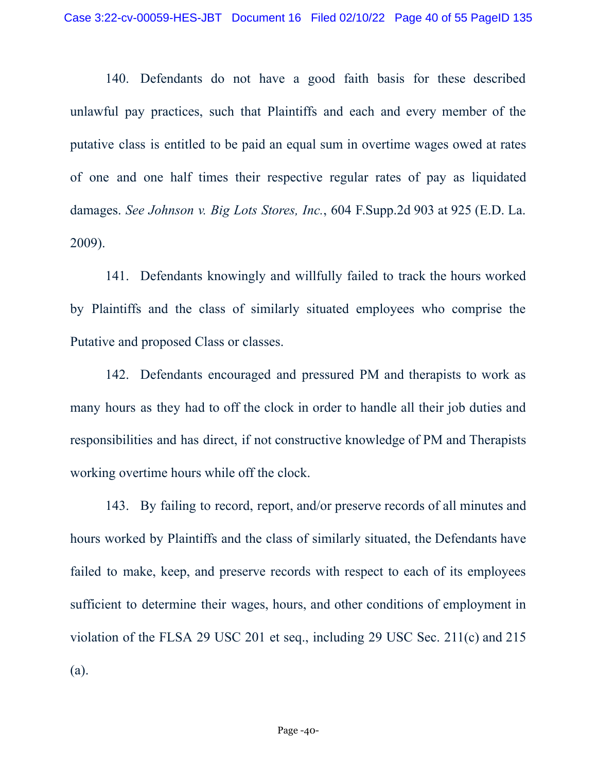140. Defendants do not have a good faith basis for these described unlawful pay practices, such that Plaintiffs and each and every member of the putative class is entitled to be paid an equal sum in overtime wages owed at rates of one and one half times their respective regular rates of pay as liquidated damages. *See Johnson v. Big Lots Stores, Inc.*, 604 F.Supp.2d 903 at 925 (E.D. La. 2009).

141. Defendants knowingly and willfully failed to track the hours worked by Plaintiffs and the class of similarly situated employees who comprise the Putative and proposed Class or classes.

142. Defendants encouraged and pressured PM and therapists to work as many hours as they had to off the clock in order to handle all their job duties and responsibilities and has direct, if not constructive knowledge of PM and Therapists working overtime hours while off the clock.

143. By failing to record, report, and/or preserve records of all minutes and hours worked by Plaintiffs and the class of similarly situated, the Defendants have failed to make, keep, and preserve records with respect to each of its employees sufficient to determine their wages, hours, and other conditions of employment in violation of the FLSA 29 USC 201 et seq., including 29 USC Sec. 211(c) and 215 (a).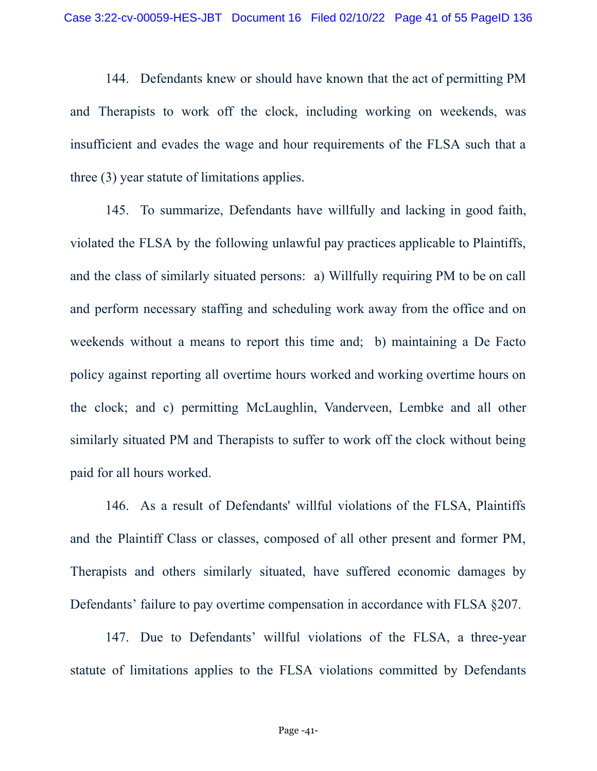144. Defendants knew or should have known that the act of permitting PM and Therapists to work off the clock, including working on weekends, was insufficient and evades the wage and hour requirements of the FLSA such that a three (3) year statute of limitations applies.

145. To summarize, Defendants have willfully and lacking in good faith, violated the FLSA by the following unlawful pay practices applicable to Plaintiffs, and the class of similarly situated persons: a) Willfully requiring PM to be on call and perform necessary staffing and scheduling work away from the office and on weekends without a means to report this time and; b) maintaining a De Facto policy against reporting all overtime hours worked and working overtime hours on the clock; and c) permitting McLaughlin, Vanderveen, Lembke and all other similarly situated PM and Therapists to suffer to work off the clock without being paid for all hours worked.

146. As a result of Defendants' willful violations of the FLSA, Plaintiffs and the Plaintiff Class or classes, composed of all other present and former PM, Therapists and others similarly situated, have suffered economic damages by Defendants' failure to pay overtime compensation in accordance with FLSA §207.

147. Due to Defendants' willful violations of the FLSA, a three-year statute of limitations applies to the FLSA violations committed by Defendants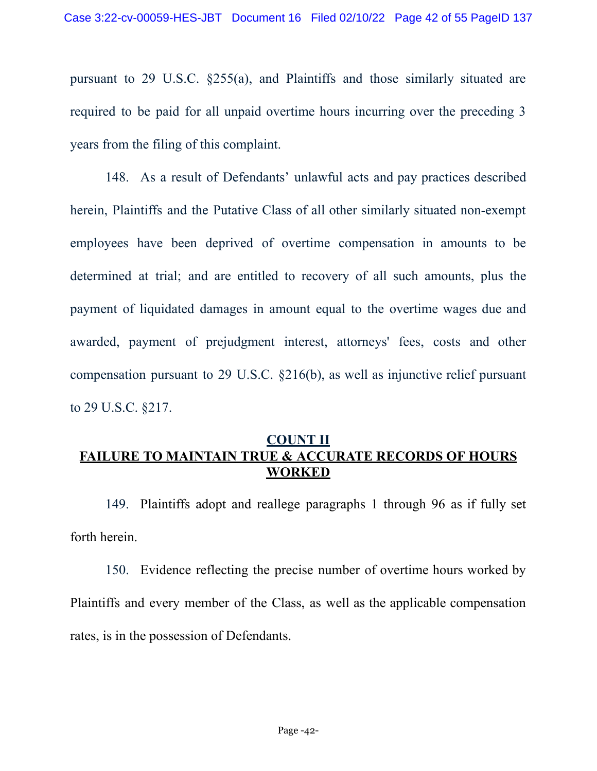pursuant to 29 U.S.C. §255(a), and Plaintiffs and those similarly situated are required to be paid for all unpaid overtime hours incurring over the preceding 3 years from the filing of this complaint.

148. As a result of Defendants' unlawful acts and pay practices described herein, Plaintiffs and the Putative Class of all other similarly situated non-exempt employees have been deprived of overtime compensation in amounts to be determined at trial; and are entitled to recovery of all such amounts, plus the payment of liquidated damages in amount equal to the overtime wages due and awarded, payment of prejudgment interest, attorneys' fees, costs and other compensation pursuant to 29 U.S.C. §216(b), as well as injunctive relief pursuant to 29 U.S.C. §217.

## **COUNT II FAILURE TO MAINTAIN TRUE & ACCURATE RECORDS OF HOURS WORKED**

149. Plaintiffs adopt and reallege paragraphs 1 through 96 as if fully set forth herein.

150. Evidence reflecting the precise number of overtime hours worked by Plaintiffs and every member of the Class, as well as the applicable compensation rates, is in the possession of Defendants.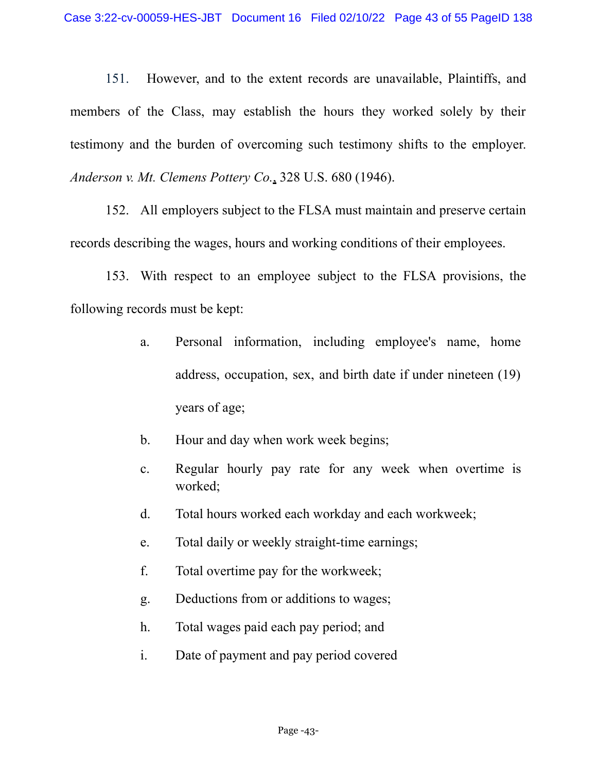151. However, and to the extent records are unavailable, Plaintiffs, and members of the Class, may establish the hours they worked solely by their testimony and the burden of overcoming such testimony shifts to the employer. *Anderson v. Mt. Clemens Pottery Co.*, 328 U.S. 680 (1946).

152. All employers subject to the FLSA must maintain and preserve certain records describing the wages, hours and working conditions of their employees.

153. With respect to an employee subject to the FLSA provisions, the following records must be kept:

- a. Personal information, including employee's name, home address, occupation, sex, and birth date if under nineteen (19) years of age;
- b. Hour and day when work week begins;
- c. Regular hourly pay rate for any week when overtime is worked;
- d. Total hours worked each workday and each workweek;
- e. Total daily or weekly straight-time earnings;
- f. Total overtime pay for the workweek;
- g. Deductions from or additions to wages;
- h. Total wages paid each pay period; and
- i. Date of payment and pay period covered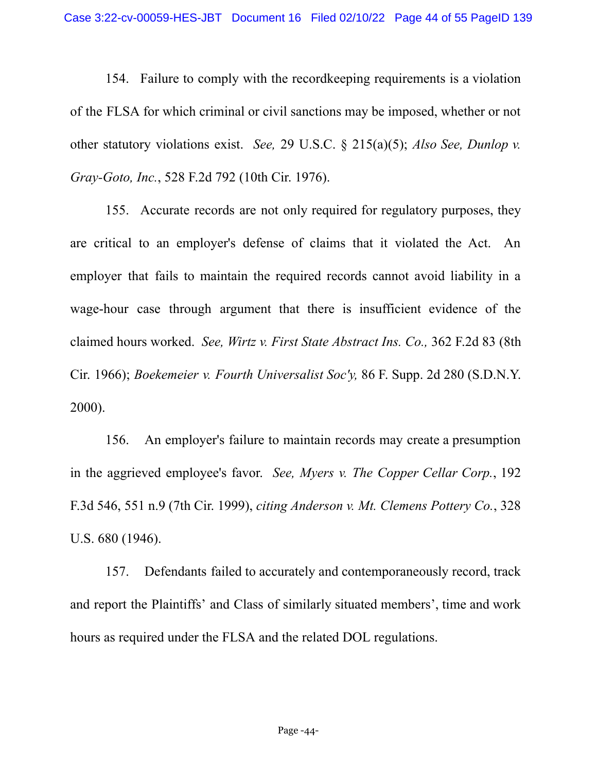154. Failure to comply with the recordkeeping requirements is a violation of the FLSA for which criminal or civil sanctions may be imposed, whether or not other statutory violations exist. *See,* 29 U.S.C. § 215(a)(5); *Also See, Dunlop v. Gray-Goto, Inc.*, 528 F.2d 792 (10th Cir. 1976).

155. Accurate records are not only required for regulatory purposes, they are critical to an employer's defense of claims that it violated the Act. An employer that fails to maintain the required records cannot avoid liability in a wage-hour case through argument that there is insufficient evidence of the claimed hours worked. *See, Wirtz v. First State Abstract Ins. Co.,* 362 F.2d 83 (8th Cir. 1966); *Boekemeier v. Fourth Universalist Soc'y,* 86 F. Supp. 2d 280 (S.D.N.Y. 2000).

156. An employer's failure to maintain records may create a presumption in the aggrieved employee's favor. *See, Myers v. The Copper Cellar Corp.*, 192 F.3d 546, 551 n.9 (7th Cir. 1999), *citing Anderson v. Mt. Clemens Pottery Co.*, 328 U.S. 680 (1946).

157. Defendants failed to accurately and contemporaneously record, track and report the Plaintiffs' and Class of similarly situated members', time and work hours as required under the FLSA and the related DOL regulations.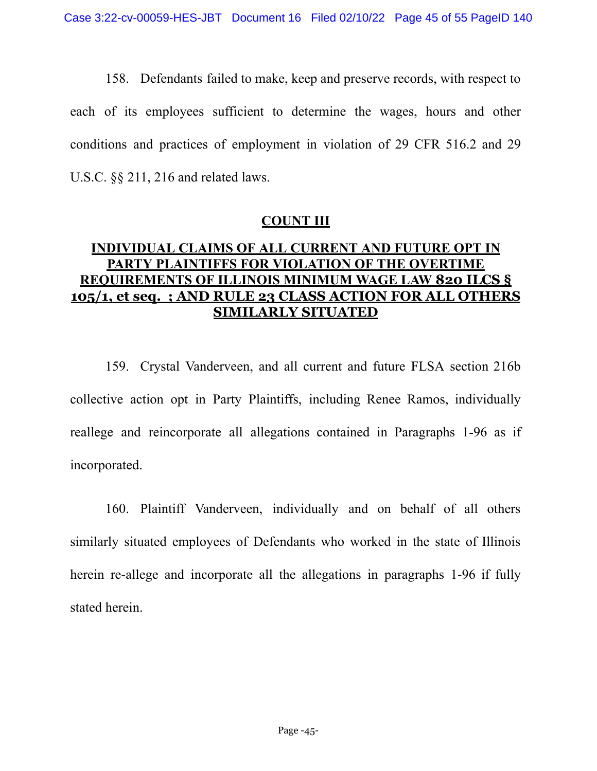158. Defendants failed to make, keep and preserve records, with respect to each of its employees sufficient to determine the wages, hours and other conditions and practices of employment in violation of 29 CFR 516.2 and 29 U.S.C. §§ 211, 216 and related laws.

#### **COUNT III**

# **INDIVIDUAL CLAIMS OF ALL CURRENT AND FUTURE OPT IN PARTY PLAINTIFFS FOR VIOLATION OF THE OVERTIME REQUIREMENTS OF ILLINOIS MINIMUM WAGE LAW 820 ILCS § 105/1, et seq. ; AND RULE 23 CLASS ACTION FOR ALL OTHERS SIMILARLY SITUATED**

159. Crystal Vanderveen, and all current and future FLSA section 216b collective action opt in Party Plaintiffs, including Renee Ramos, individually reallege and reincorporate all allegations contained in Paragraphs 1-96 as if incorporated.

160. Plaintiff Vanderveen, individually and on behalf of all others similarly situated employees of Defendants who worked in the state of Illinois herein re-allege and incorporate all the allegations in paragraphs 1-96 if fully stated herein.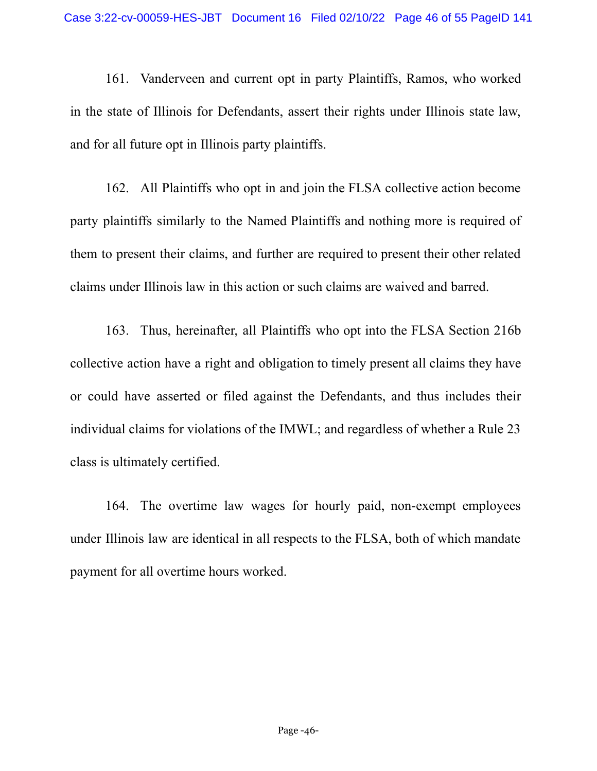161. Vanderveen and current opt in party Plaintiffs, Ramos, who worked in the state of Illinois for Defendants, assert their rights under Illinois state law, and for all future opt in Illinois party plaintiffs.

162. All Plaintiffs who opt in and join the FLSA collective action become party plaintiffs similarly to the Named Plaintiffs and nothing more is required of them to present their claims, and further are required to present their other related claims under Illinois law in this action or such claims are waived and barred.

163. Thus, hereinafter, all Plaintiffs who opt into the FLSA Section 216b collective action have a right and obligation to timely present all claims they have or could have asserted or filed against the Defendants, and thus includes their individual claims for violations of the IMWL; and regardless of whether a Rule 23 class is ultimately certified.

164. The overtime law wages for hourly paid, non-exempt employees under Illinois law are identical in all respects to the FLSA, both of which mandate payment for all overtime hours worked.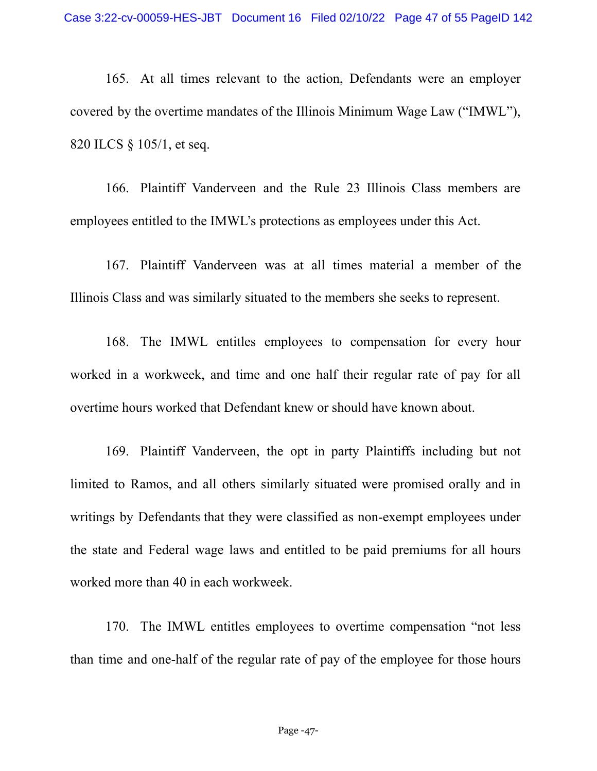165. At all times relevant to the action, Defendants were an employer covered by the overtime mandates of the Illinois Minimum Wage Law ("IMWL"), 820 ILCS § 105/1, et seq.

166. Plaintiff Vanderveen and the Rule 23 Illinois Class members are employees entitled to the IMWL's protections as employees under this Act.

167. Plaintiff Vanderveen was at all times material a member of the Illinois Class and was similarly situated to the members she seeks to represent.

168. The IMWL entitles employees to compensation for every hour worked in a workweek, and time and one half their regular rate of pay for all overtime hours worked that Defendant knew or should have known about.

169. Plaintiff Vanderveen, the opt in party Plaintiffs including but not limited to Ramos, and all others similarly situated were promised orally and in writings by Defendants that they were classified as non-exempt employees under the state and Federal wage laws and entitled to be paid premiums for all hours worked more than 40 in each workweek.

170. The IMWL entitles employees to overtime compensation "not less than time and one-half of the regular rate of pay of the employee for those hours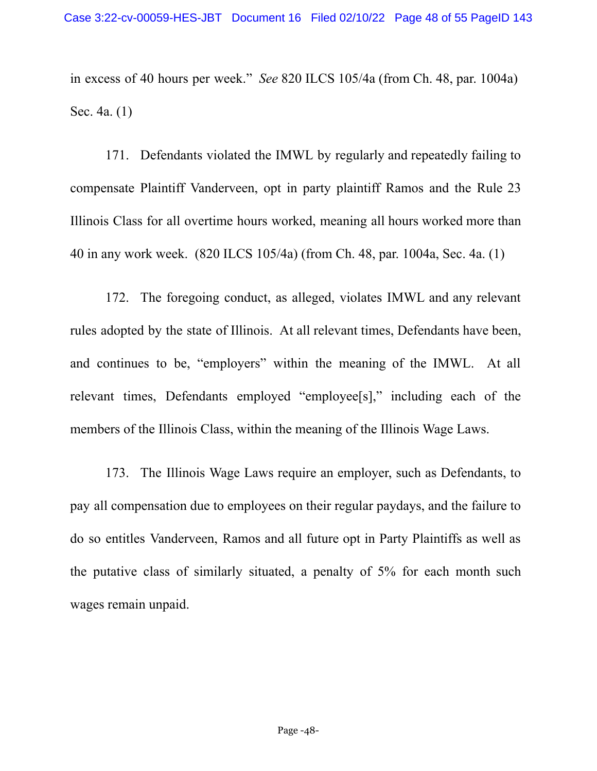in excess of 40 hours per week." *See* 820 ILCS 105/4a (from Ch. 48, par. 1004a) Sec. 4a. (1)

171. Defendants violated the IMWL by regularly and repeatedly failing to compensate Plaintiff Vanderveen, opt in party plaintiff Ramos and the Rule 23 Illinois Class for all overtime hours worked, meaning all hours worked more than 40 in any work week. (820 ILCS 105/4a) (from Ch. 48, par. 1004a, Sec. 4a. (1)

172. The foregoing conduct, as alleged, violates IMWL and any relevant rules adopted by the state of Illinois. At all relevant times, Defendants have been, and continues to be, "employers" within the meaning of the IMWL. At all relevant times, Defendants employed "employee[s]," including each of the members of the Illinois Class, within the meaning of the Illinois Wage Laws.

173. The Illinois Wage Laws require an employer, such as Defendants, to pay all compensation due to employees on their regular paydays, and the failure to do so entitles Vanderveen, Ramos and all future opt in Party Plaintiffs as well as the putative class of similarly situated, a penalty of 5% for each month such wages remain unpaid.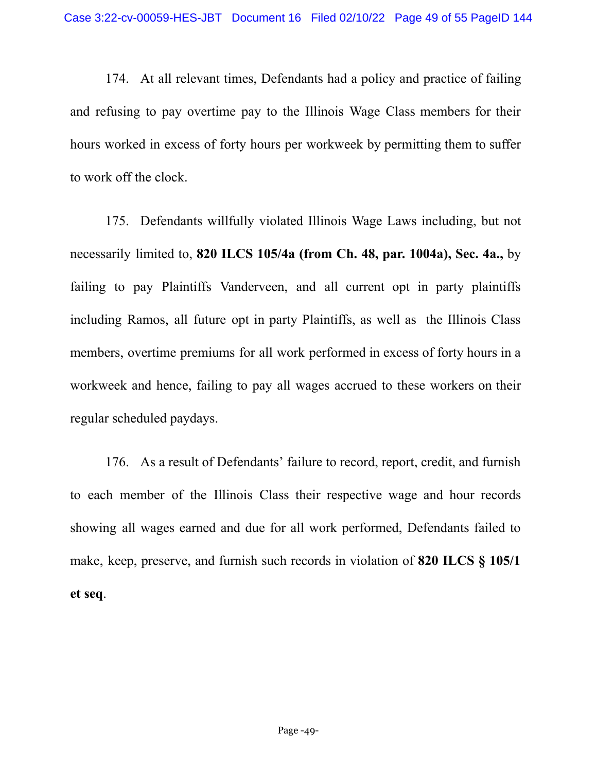174. At all relevant times, Defendants had a policy and practice of failing and refusing to pay overtime pay to the Illinois Wage Class members for their hours worked in excess of forty hours per workweek by permitting them to suffer to work off the clock.

175. Defendants willfully violated Illinois Wage Laws including, but not necessarily limited to, **820 ILCS 105/4a (from Ch. 48, par. 1004a), Sec. 4a.,** by failing to pay Plaintiffs Vanderveen, and all current opt in party plaintiffs including Ramos, all future opt in party Plaintiffs, as well as the Illinois Class members, overtime premiums for all work performed in excess of forty hours in a workweek and hence, failing to pay all wages accrued to these workers on their regular scheduled paydays.

176. As a result of Defendants' failure to record, report, credit, and furnish to each member of the Illinois Class their respective wage and hour records showing all wages earned and due for all work performed, Defendants failed to make, keep, preserve, and furnish such records in violation of **820 ILCS § 105/1 et seq**.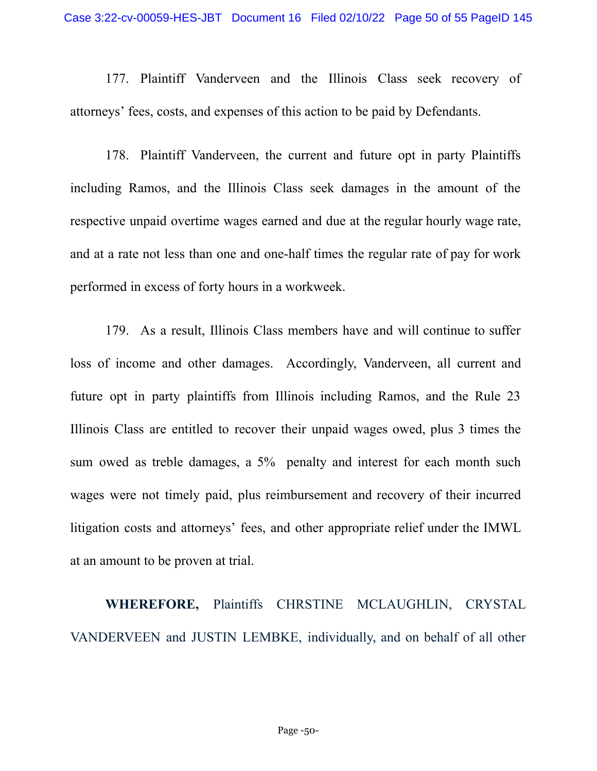177. Plaintiff Vanderveen and the Illinois Class seek recovery of attorneys' fees, costs, and expenses of this action to be paid by Defendants.

178. Plaintiff Vanderveen, the current and future opt in party Plaintiffs including Ramos, and the Illinois Class seek damages in the amount of the respective unpaid overtime wages earned and due at the regular hourly wage rate, and at a rate not less than one and one-half times the regular rate of pay for work performed in excess of forty hours in a workweek.

179. As a result, Illinois Class members have and will continue to suffer loss of income and other damages. Accordingly, Vanderveen, all current and future opt in party plaintiffs from Illinois including Ramos, and the Rule 23 Illinois Class are entitled to recover their unpaid wages owed, plus 3 times the sum owed as treble damages, a 5% penalty and interest for each month such wages were not timely paid, plus reimbursement and recovery of their incurred litigation costs and attorneys' fees, and other appropriate relief under the IMWL at an amount to be proven at trial.

**WHEREFORE,** Plaintiffs CHRSTINE MCLAUGHLIN, CRYSTAL VANDERVEEN and JUSTIN LEMBKE, individually, and on behalf of all other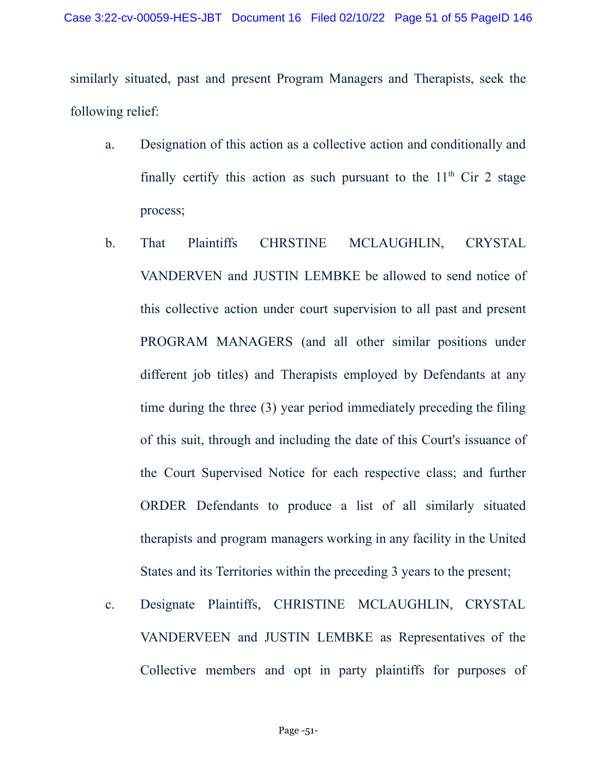similarly situated, past and present Program Managers and Therapists, seek the following relief:

- a. Designation of this action as a collective action and conditionally and finally certify this action as such pursuant to the  $11<sup>th</sup>$  Cir 2 stage process;
- b. That Plaintiffs CHRSTINE MCLAUGHLIN, CRYSTAL VANDERVEN and JUSTIN LEMBKE be allowed to send notice of this collective action under court supervision to all past and present PROGRAM MANAGERS (and all other similar positions under different job titles) and Therapists employed by Defendants at any time during the three (3) year period immediately preceding the filing of this suit, through and including the date of this Court's issuance of the Court Supervised Notice for each respective class; and further ORDER Defendants to produce a list of all similarly situated therapists and program managers working in any facility in the United States and its Territories within the preceding 3 years to the present;
- c. Designate Plaintiffs, CHRISTINE MCLAUGHLIN, CRYSTAL VANDERVEEN and JUSTIN LEMBKE as Representatives of the Collective members and opt in party plaintiffs for purposes of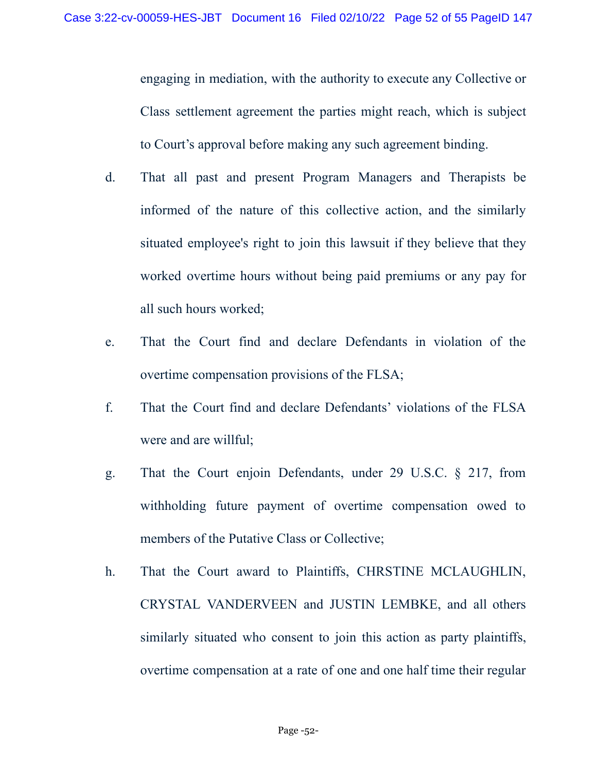engaging in mediation, with the authority to execute any Collective or Class settlement agreement the parties might reach, which is subject to Court's approval before making any such agreement binding.

- d. That all past and present Program Managers and Therapists be informed of the nature of this collective action, and the similarly situated employee's right to join this lawsuit if they believe that they worked overtime hours without being paid premiums or any pay for all such hours worked;
- e. That the Court find and declare Defendants in violation of the overtime compensation provisions of the FLSA;
- f. That the Court find and declare Defendants' violations of the FLSA were and are willful;
- g. That the Court enjoin Defendants, under 29 U.S.C. § 217, from withholding future payment of overtime compensation owed to members of the Putative Class or Collective;
- h. That the Court award to Plaintiffs, CHRSTINE MCLAUGHLIN, CRYSTAL VANDERVEEN and JUSTIN LEMBKE, and all others similarly situated who consent to join this action as party plaintiffs, overtime compensation at a rate of one and one half time their regular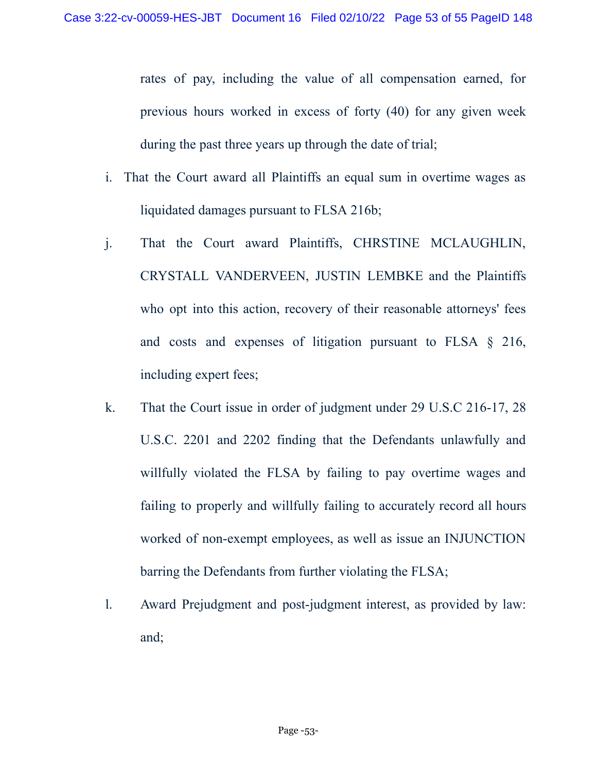rates of pay, including the value of all compensation earned, for previous hours worked in excess of forty (40) for any given week during the past three years up through the date of trial;

- i. That the Court award all Plaintiffs an equal sum in overtime wages as liquidated damages pursuant to FLSA 216b;
- j. That the Court award Plaintiffs, CHRSTINE MCLAUGHLIN, CRYSTALL VANDERVEEN, JUSTIN LEMBKE and the Plaintiffs who opt into this action, recovery of their reasonable attorneys' fees and costs and expenses of litigation pursuant to FLSA § 216, including expert fees;
- k. That the Court issue in order of judgment under 29 U.S.C 216-17, 28 U.S.C. 2201 and 2202 finding that the Defendants unlawfully and willfully violated the FLSA by failing to pay overtime wages and failing to properly and willfully failing to accurately record all hours worked of non-exempt employees, as well as issue an INJUNCTION barring the Defendants from further violating the FLSA;
- l. Award Prejudgment and post-judgment interest, as provided by law: and;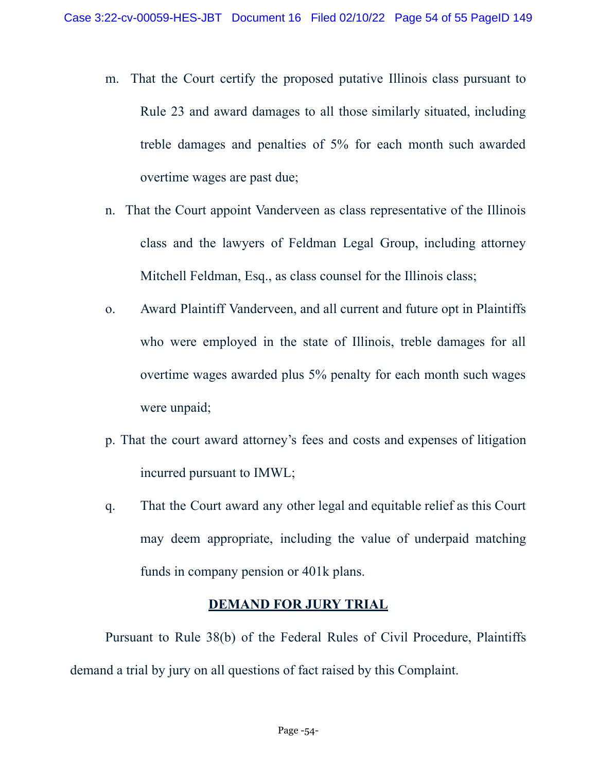- m. That the Court certify the proposed putative Illinois class pursuant to Rule 23 and award damages to all those similarly situated, including treble damages and penalties of 5% for each month such awarded overtime wages are past due;
- n. That the Court appoint Vanderveen as class representative of the Illinois class and the lawyers of Feldman Legal Group, including attorney Mitchell Feldman, Esq., as class counsel for the Illinois class;
- o. Award Plaintiff Vanderveen, and all current and future opt in Plaintiffs who were employed in the state of Illinois, treble damages for all overtime wages awarded plus 5% penalty for each month such wages were unpaid;
- p. That the court award attorney's fees and costs and expenses of litigation incurred pursuant to IMWL;
- q. That the Court award any other legal and equitable relief as this Court may deem appropriate, including the value of underpaid matching funds in company pension or 401k plans.

## **DEMAND FOR JURY TRIAL**

Pursuant to Rule 38(b) of the Federal Rules of Civil Procedure, Plaintiffs demand a trial by jury on all questions of fact raised by this Complaint.